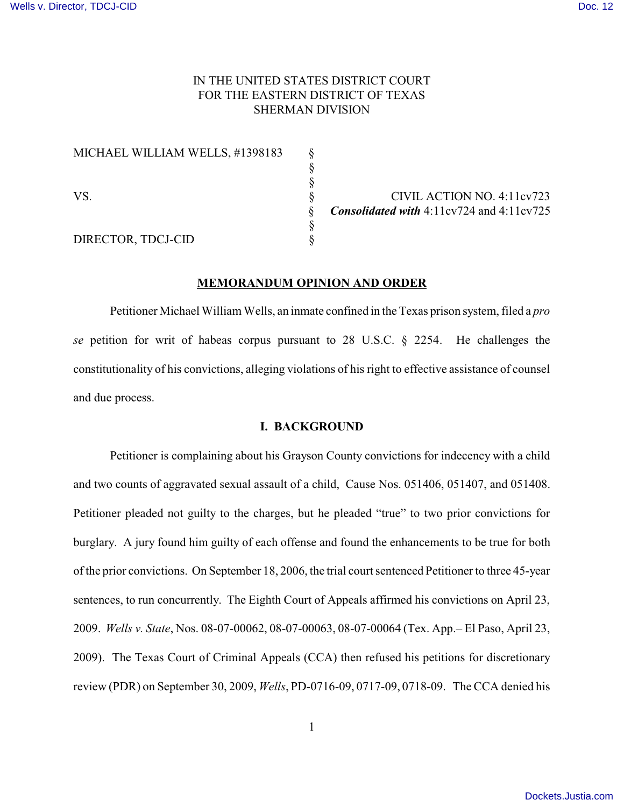# IN THE UNITED STATES DISTRICT COURT FOR THE EASTERN DISTRICT OF TEXAS SHERMAN DIVISION

 § §

§

MICHAEL WILLIAM WELLS, #1398183 §

DIRECTOR, TDCJ-CID §

VS. S<br>S Consolidated with 4:11cv724 and 4:11cv725 § *Consolidated with* 4:11cv724 and 4:11cv725

### **MEMORANDUM OPINION AND ORDER**

Petitioner Michael William Wells, an inmate confined in the Texas prison system, filed a *pro se* petition for writ of habeas corpus pursuant to 28 U.S.C. § 2254. He challenges the constitutionality of his convictions, alleging violations of his right to effective assistance of counsel and due process.

## **I. BACKGROUND**

Petitioner is complaining about his Grayson County convictions for indecency with a child and two counts of aggravated sexual assault of a child, Cause Nos. 051406, 051407, and 051408. Petitioner pleaded not guilty to the charges, but he pleaded "true" to two prior convictions for burglary. A jury found him guilty of each offense and found the enhancements to be true for both of the prior convictions. On September 18, 2006, the trial court sentenced Petitioner to three 45-year sentences, to run concurrently. The Eighth Court of Appeals affirmed his convictions on April 23, 2009. *Wells v. State*, Nos. 08-07-00062, 08-07-00063, 08-07-00064 (Tex. App.– El Paso, April 23, 2009). The Texas Court of Criminal Appeals (CCA) then refused his petitions for discretionary review (PDR) on September 30, 2009, *Wells*, PD-0716-09, 0717-09, 0718-09. The CCA denied his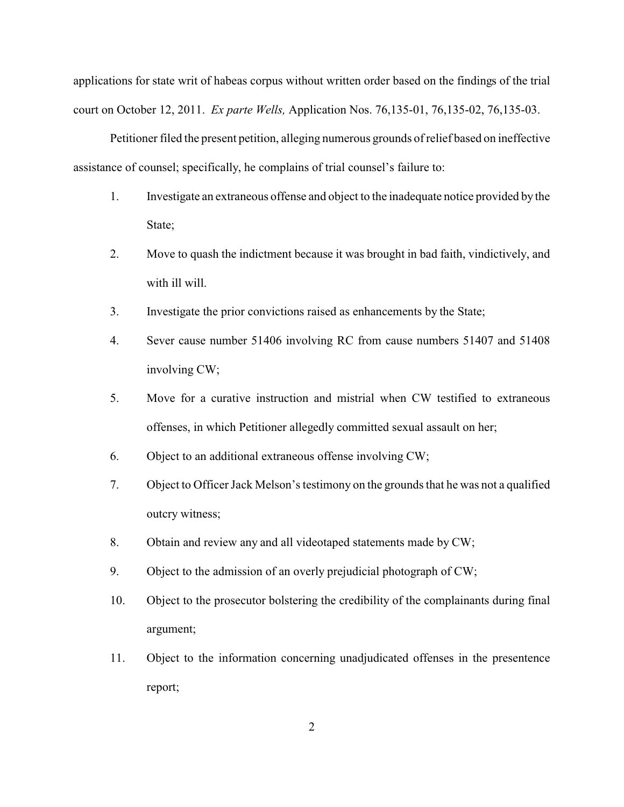applications for state writ of habeas corpus without written order based on the findings of the trial court on October 12, 2011. *Ex parte Wells,* Application Nos. 76,135-01, 76,135-02, 76,135-03.

Petitioner filed the present petition, alleging numerous grounds of relief based on ineffective assistance of counsel; specifically, he complains of trial counsel's failure to:

- 1. Investigate an extraneous offense and object to the inadequate notice provided by the State:
- 2. Move to quash the indictment because it was brought in bad faith, vindictively, and with ill will.
- 3. Investigate the prior convictions raised as enhancements by the State;
- 4. Sever cause number 51406 involving RC from cause numbers 51407 and 51408 involving CW;
- 5. Move for a curative instruction and mistrial when CW testified to extraneous offenses, in which Petitioner allegedly committed sexual assault on her;
- 6. Object to an additional extraneous offense involving CW;
- 7. Object to Officer Jack Melson's testimony on the grounds that he was not a qualified outcry witness;
- 8. Obtain and review any and all videotaped statements made by CW;
- 9. Object to the admission of an overly prejudicial photograph of CW;
- 10. Object to the prosecutor bolstering the credibility of the complainants during final argument;
- 11. Object to the information concerning unadjudicated offenses in the presentence report;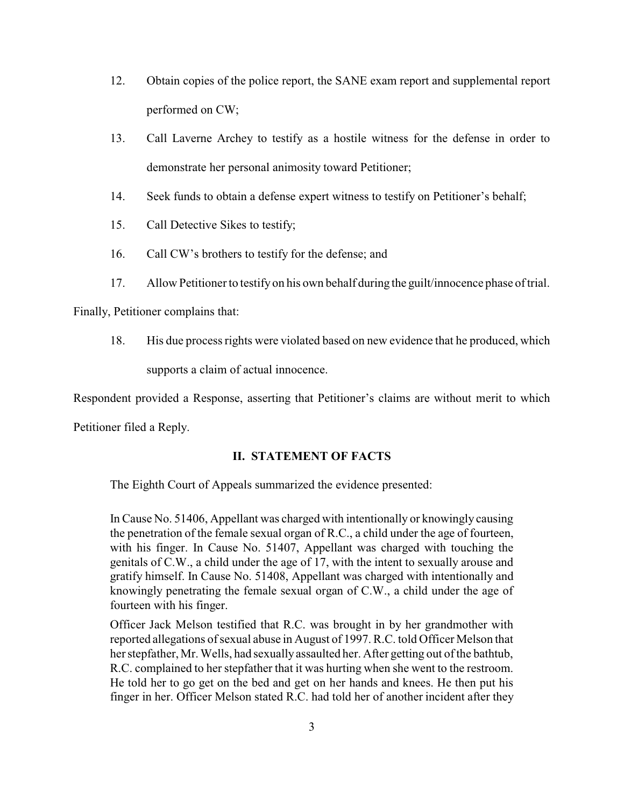- 12. Obtain copies of the police report, the SANE exam report and supplemental report performed on CW;
- 13. Call Laverne Archey to testify as a hostile witness for the defense in order to demonstrate her personal animosity toward Petitioner;
- 14. Seek funds to obtain a defense expert witness to testify on Petitioner's behalf;
- 15. Call Detective Sikes to testify;
- 16. Call CW's brothers to testify for the defense; and
- 17. Allow Petitioner to testifyon his own behalf during the guilt/innocence phase of trial.

Finally, Petitioner complains that:

18. His due process rights were violated based on new evidence that he produced, which

supports a claim of actual innocence.

Respondent provided a Response, asserting that Petitioner's claims are without merit to which

Petitioner filed a Reply.

## **II. STATEMENT OF FACTS**

The Eighth Court of Appeals summarized the evidence presented:

In Cause No. 51406, Appellant was charged with intentionally or knowingly causing the penetration of the female sexual organ of R.C., a child under the age of fourteen, with his finger. In Cause No. 51407, Appellant was charged with touching the genitals of C.W., a child under the age of 17, with the intent to sexually arouse and gratify himself. In Cause No. 51408, Appellant was charged with intentionally and knowingly penetrating the female sexual organ of C.W., a child under the age of fourteen with his finger.

Officer Jack Melson testified that R.C. was brought in by her grandmother with reported allegations of sexual abuse in August of 1997. R.C. told Officer Melson that her stepfather, Mr. Wells, had sexuallyassaulted her. After getting out of the bathtub, R.C. complained to her stepfather that it was hurting when she went to the restroom. He told her to go get on the bed and get on her hands and knees. He then put his finger in her. Officer Melson stated R.C. had told her of another incident after they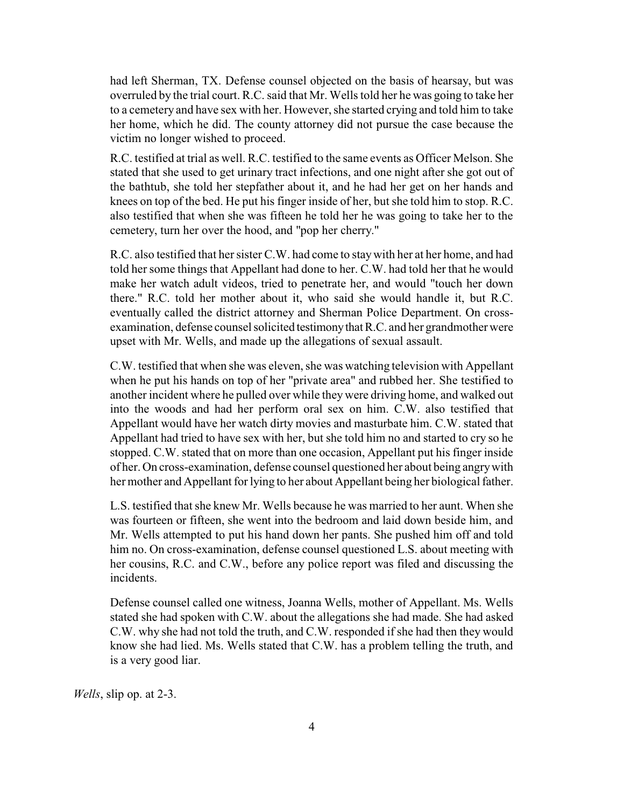had left Sherman, TX. Defense counsel objected on the basis of hearsay, but was overruled by the trial court. R.C. said that Mr. Wells told her he was going to take her to a cemetery and have sex with her. However, she started crying and told him to take her home, which he did. The county attorney did not pursue the case because the victim no longer wished to proceed.

R.C. testified at trial as well. R.C. testified to the same events as Officer Melson. She stated that she used to get urinary tract infections, and one night after she got out of the bathtub, she told her stepfather about it, and he had her get on her hands and knees on top of the bed. He put his finger inside of her, but she told him to stop. R.C. also testified that when she was fifteen he told her he was going to take her to the cemetery, turn her over the hood, and "pop her cherry."

R.C. also testified that her sister C.W. had come to staywith her at her home, and had told her some things that Appellant had done to her. C.W. had told her that he would make her watch adult videos, tried to penetrate her, and would "touch her down there." R.C. told her mother about it, who said she would handle it, but R.C. eventually called the district attorney and Sherman Police Department. On crossexamination, defense counsel solicited testimony that R.C. and her grandmother were upset with Mr. Wells, and made up the allegations of sexual assault.

C.W. testified that when she was eleven, she was watching television with Appellant when he put his hands on top of her "private area" and rubbed her. She testified to another incident where he pulled over while they were driving home, and walked out into the woods and had her perform oral sex on him. C.W. also testified that Appellant would have her watch dirty movies and masturbate him. C.W. stated that Appellant had tried to have sex with her, but she told him no and started to cry so he stopped. C.W. stated that on more than one occasion, Appellant put his finger inside of her. On cross-examination, defense counsel questioned her about being angrywith her mother and Appellant for lying to her about Appellant being her biological father.

L.S. testified that she knew Mr. Wells because he was married to her aunt. When she was fourteen or fifteen, she went into the bedroom and laid down beside him, and Mr. Wells attempted to put his hand down her pants. She pushed him off and told him no. On cross-examination, defense counsel questioned L.S. about meeting with her cousins, R.C. and C.W., before any police report was filed and discussing the incidents.

Defense counsel called one witness, Joanna Wells, mother of Appellant. Ms. Wells stated she had spoken with C.W. about the allegations she had made. She had asked C.W. why she had not told the truth, and C.W. responded if she had then they would know she had lied. Ms. Wells stated that C.W. has a problem telling the truth, and is a very good liar.

*Wells*, slip op. at 2-3.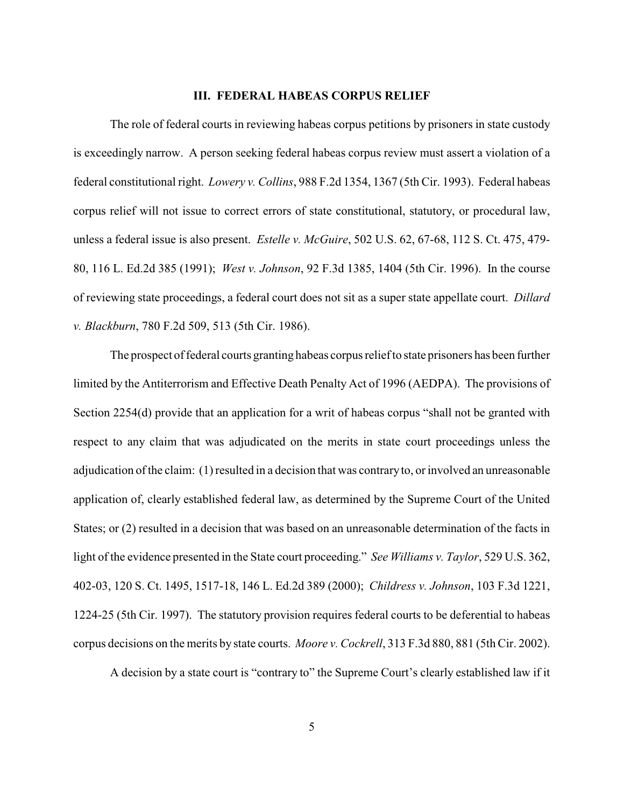## **III. FEDERAL HABEAS CORPUS RELIEF**

The role of federal courts in reviewing habeas corpus petitions by prisoners in state custody is exceedingly narrow. A person seeking federal habeas corpus review must assert a violation of a federal constitutional right. *Lowery v. Collins*, 988 F.2d 1354, 1367 (5th Cir. 1993). Federal habeas corpus relief will not issue to correct errors of state constitutional, statutory, or procedural law, unless a federal issue is also present. *Estelle v. McGuire*, 502 U.S. 62, 67-68, 112 S. Ct. 475, 479- 80, 116 L. Ed.2d 385 (1991); *West v. Johnson*, 92 F.3d 1385, 1404 (5th Cir. 1996). In the course of reviewing state proceedings, a federal court does not sit as a super state appellate court. *Dillard v. Blackburn*, 780 F.2d 509, 513 (5th Cir. 1986).

The prospect of federal courts granting habeas corpus relief to state prisoners has been further limited by the Antiterrorism and Effective Death Penalty Act of 1996 (AEDPA). The provisions of Section 2254(d) provide that an application for a writ of habeas corpus "shall not be granted with respect to any claim that was adjudicated on the merits in state court proceedings unless the adjudication of the claim: (1) resulted in a decision that was contraryto, or involved an unreasonable application of, clearly established federal law, as determined by the Supreme Court of the United States; or (2) resulted in a decision that was based on an unreasonable determination of the facts in light of the evidence presented in the State court proceeding." *See Williams v. Taylor*, 529 U.S. 362, 402-03, 120 S. Ct. 1495, 1517-18, 146 L. Ed.2d 389 (2000); *Childress v. Johnson*, 103 F.3d 1221, 1224-25 (5th Cir. 1997). The statutory provision requires federal courts to be deferential to habeas corpus decisions on the merits by state courts. *Moore v. Cockrell*, 313 F.3d 880, 881 (5th Cir. 2002).

A decision by a state court is "contrary to" the Supreme Court's clearly established law if it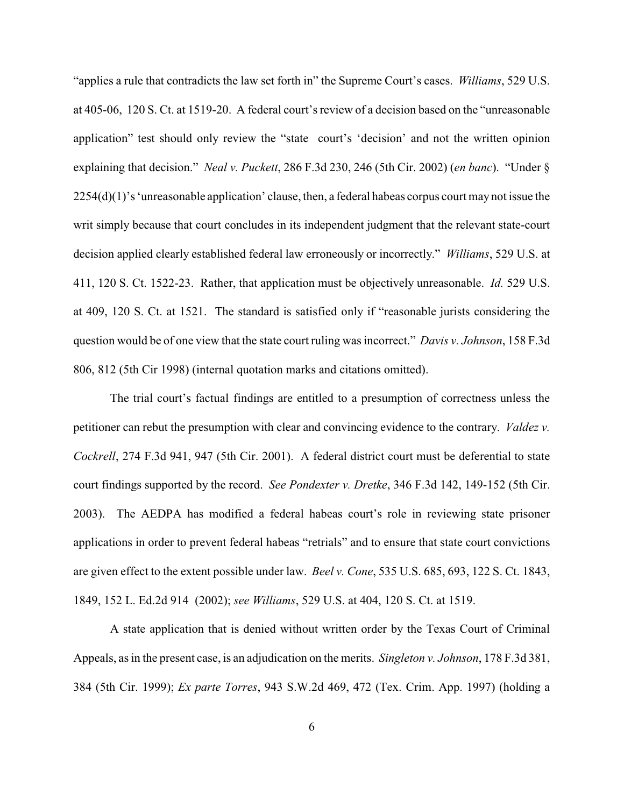"applies a rule that contradicts the law set forth in" the Supreme Court's cases. *Williams*, 529 U.S. at 405-06, 120 S. Ct. at 1519-20. A federal court's review of a decision based on the "unreasonable application" test should only review the "state court's 'decision' and not the written opinion explaining that decision." *Neal v. Puckett*, 286 F.3d 230, 246 (5th Cir. 2002) (*en banc*). "Under § 2254(d)(1)'s 'unreasonable application' clause, then, a federal habeas corpus court may not issue the writ simply because that court concludes in its independent judgment that the relevant state-court decision applied clearly established federal law erroneously or incorrectly." *Williams*, 529 U.S. at 411, 120 S. Ct. 1522-23. Rather, that application must be objectively unreasonable. *Id.* 529 U.S. at 409, 120 S. Ct. at 1521. The standard is satisfied only if "reasonable jurists considering the question would be of one view that the state court ruling was incorrect." *Davis v. Johnson*, 158 F.3d 806, 812 (5th Cir 1998) (internal quotation marks and citations omitted).

The trial court's factual findings are entitled to a presumption of correctness unless the petitioner can rebut the presumption with clear and convincing evidence to the contrary. *Valdez v. Cockrell*, 274 F.3d 941, 947 (5th Cir. 2001). A federal district court must be deferential to state court findings supported by the record. *See Pondexter v. Dretke*, 346 F.3d 142, 149-152 (5th Cir. 2003). The AEDPA has modified a federal habeas court's role in reviewing state prisoner applications in order to prevent federal habeas "retrials" and to ensure that state court convictions are given effect to the extent possible under law. *Beel v. Cone*, 535 U.S. 685, 693, 122 S. Ct. 1843, 1849, 152 L. Ed.2d 914 (2002); *see Williams*, 529 U.S. at 404, 120 S. Ct. at 1519.

A state application that is denied without written order by the Texas Court of Criminal Appeals, as in the present case, is an adjudication on the merits. *Singleton v. Johnson*, 178 F.3d 381, 384 (5th Cir. 1999); *Ex parte Torres*, 943 S.W.2d 469, 472 (Tex. Crim. App. 1997) (holding a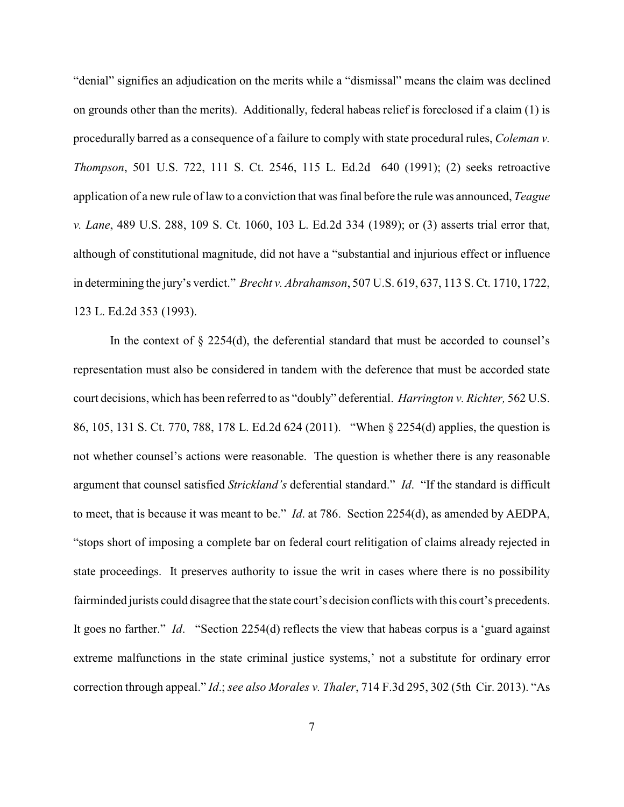"denial" signifies an adjudication on the merits while a "dismissal" means the claim was declined on grounds other than the merits). Additionally, federal habeas relief is foreclosed if a claim (1) is procedurally barred as a consequence of a failure to comply with state procedural rules, *Coleman v. Thompson*, 501 U.S. 722, 111 S. Ct. 2546, 115 L. Ed.2d 640 (1991); (2) seeks retroactive application of a new rule of law to a conviction that was final before the rule was announced, *Teague v. Lane*, 489 U.S. 288, 109 S. Ct. 1060, 103 L. Ed.2d 334 (1989); or (3) asserts trial error that, although of constitutional magnitude, did not have a "substantial and injurious effect or influence in determining the jury's verdict." *Brecht v. Abrahamson*, 507 U.S. 619, 637, 113 S. Ct. 1710, 1722, 123 L. Ed.2d 353 (1993).

In the context of  $\S$  2254(d), the deferential standard that must be accorded to counsel's representation must also be considered in tandem with the deference that must be accorded state court decisions, which has been referred to as "doubly" deferential. *Harrington v. Richter,* 562 U.S. 86, 105, 131 S. Ct. 770, 788, 178 L. Ed.2d 624 (2011). "When § 2254(d) applies, the question is not whether counsel's actions were reasonable. The question is whether there is any reasonable argument that counsel satisfied *Strickland's* deferential standard." *Id*. "If the standard is difficult to meet, that is because it was meant to be." *Id*. at 786. Section 2254(d), as amended by AEDPA, "stops short of imposing a complete bar on federal court relitigation of claims already rejected in state proceedings. It preserves authority to issue the writ in cases where there is no possibility fairminded jurists could disagree that the state court's decision conflicts with this court's precedents. It goes no farther." *Id*. "Section 2254(d) reflects the view that habeas corpus is a 'guard against extreme malfunctions in the state criminal justice systems,' not a substitute for ordinary error correction through appeal." *Id*.; *see also Morales v. Thaler*, 714 F.3d 295, 302 (5th Cir. 2013). "As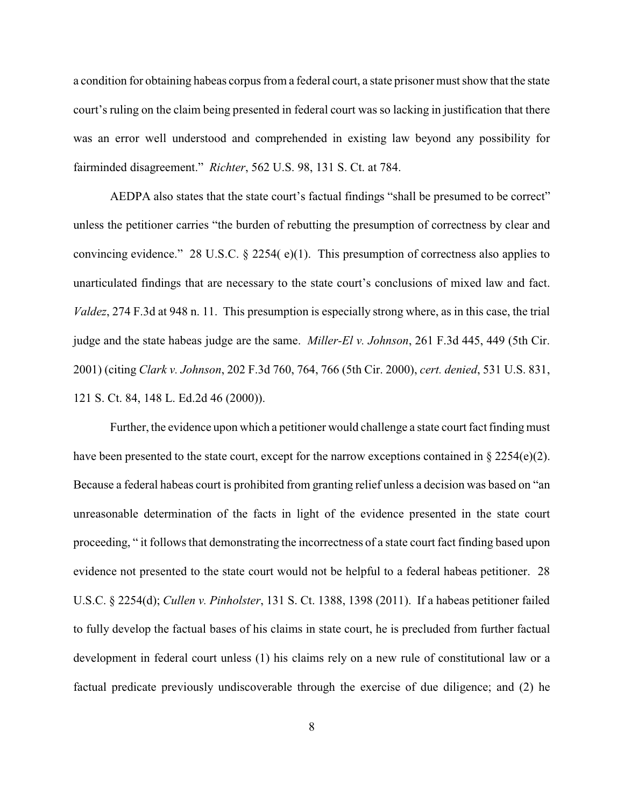a condition for obtaining habeas corpus from a federal court, a state prisoner must show that the state court's ruling on the claim being presented in federal court was so lacking in justification that there was an error well understood and comprehended in existing law beyond any possibility for fairminded disagreement." *Richter*, 562 U.S. 98, 131 S. Ct. at 784.

AEDPA also states that the state court's factual findings "shall be presumed to be correct" unless the petitioner carries "the burden of rebutting the presumption of correctness by clear and convincing evidence." 28 U.S.C. § 2254( e)(1). This presumption of correctness also applies to unarticulated findings that are necessary to the state court's conclusions of mixed law and fact. *Valdez*, 274 F.3d at 948 n. 11. This presumption is especially strong where, as in this case, the trial judge and the state habeas judge are the same. *Miller-El v. Johnson*, 261 F.3d 445, 449 (5th Cir. 2001) (citing *Clark v. Johnson*, 202 F.3d 760, 764, 766 (5th Cir. 2000), *cert. denied*, 531 U.S. 831, 121 S. Ct. 84, 148 L. Ed.2d 46 (2000)).

Further, the evidence upon which a petitioner would challenge a state court fact finding must have been presented to the state court, except for the narrow exceptions contained in  $\S 2254(e)(2)$ . Because a federal habeas court is prohibited from granting relief unless a decision was based on "an unreasonable determination of the facts in light of the evidence presented in the state court proceeding, " it follows that demonstrating the incorrectness of a state court fact finding based upon evidence not presented to the state court would not be helpful to a federal habeas petitioner. 28 U.S.C. § 2254(d); *Cullen v. Pinholster*, 131 S. Ct. 1388, 1398 (2011). If a habeas petitioner failed to fully develop the factual bases of his claims in state court, he is precluded from further factual development in federal court unless (1) his claims rely on a new rule of constitutional law or a factual predicate previously undiscoverable through the exercise of due diligence; and (2) he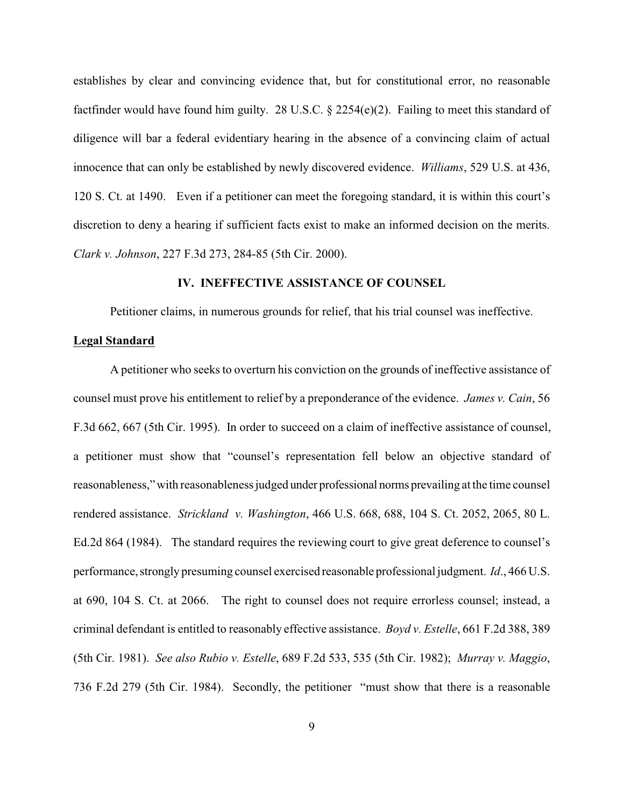establishes by clear and convincing evidence that, but for constitutional error, no reasonable factfinder would have found him guilty. 28 U.S.C. § 2254(e)(2). Failing to meet this standard of diligence will bar a federal evidentiary hearing in the absence of a convincing claim of actual innocence that can only be established by newly discovered evidence. *Williams*, 529 U.S. at 436, 120 S. Ct. at 1490. Even if a petitioner can meet the foregoing standard, it is within this court's discretion to deny a hearing if sufficient facts exist to make an informed decision on the merits. *Clark v. Johnson*, 227 F.3d 273, 284-85 (5th Cir. 2000).

### **IV. INEFFECTIVE ASSISTANCE OF COUNSEL**

Petitioner claims, in numerous grounds for relief, that his trial counsel was ineffective.

#### **Legal Standard**

A petitioner who seeks to overturn his conviction on the grounds of ineffective assistance of counsel must prove his entitlement to relief by a preponderance of the evidence. *James v. Cain*, 56 F.3d 662, 667 (5th Cir. 1995). In order to succeed on a claim of ineffective assistance of counsel, a petitioner must show that "counsel's representation fell below an objective standard of reasonableness," with reasonableness judged under professional norms prevailing at the time counsel rendered assistance. *Strickland v. Washington*, 466 U.S. 668, 688, 104 S. Ct. 2052, 2065, 80 L. Ed.2d 864 (1984). The standard requires the reviewing court to give great deference to counsel's performance, strongly presuming counsel exercised reasonable professional judgment. *Id*., 466 U.S. at 690, 104 S. Ct. at 2066. The right to counsel does not require errorless counsel; instead, a criminal defendant is entitled to reasonably effective assistance. *Boyd v. Estelle*, 661 F.2d 388, 389 (5th Cir. 1981). *See also Rubio v. Estelle*, 689 F.2d 533, 535 (5th Cir. 1982); *Murray v. Maggio*, 736 F.2d 279 (5th Cir. 1984). Secondly, the petitioner "must show that there is a reasonable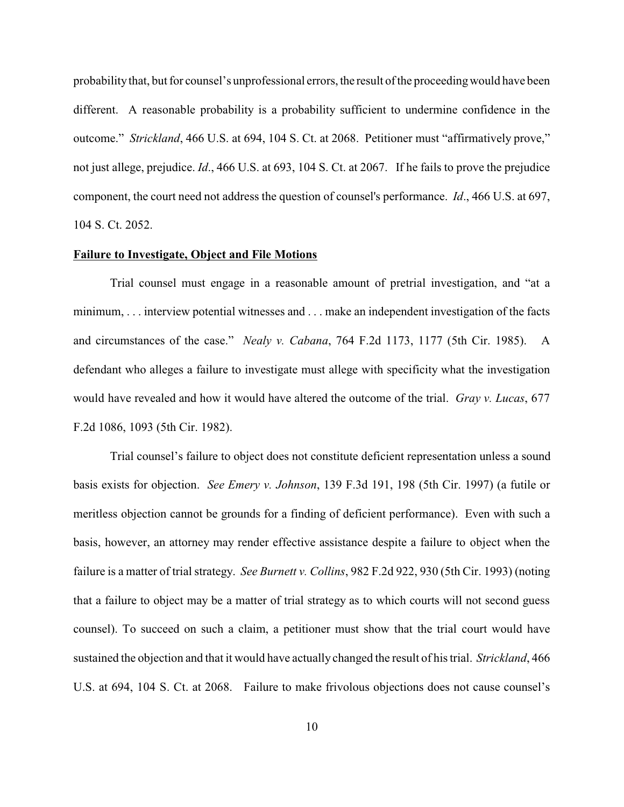probabilitythat, but for counsel's unprofessional errors, the result of the proceedingwould have been different. A reasonable probability is a probability sufficient to undermine confidence in the outcome." *Strickland*, 466 U.S. at 694, 104 S. Ct. at 2068. Petitioner must "affirmatively prove," not just allege, prejudice. *Id*., 466 U.S. at 693, 104 S. Ct. at 2067. If he fails to prove the prejudice component, the court need not address the question of counsel's performance. *Id*., 466 U.S. at 697, 104 S. Ct. 2052.

### **Failure to Investigate, Object and File Motions**

Trial counsel must engage in a reasonable amount of pretrial investigation, and "at a minimum, . . . interview potential witnesses and . . . make an independent investigation of the facts and circumstances of the case." *Nealy v. Cabana*, 764 F.2d 1173, 1177 (5th Cir. 1985). A defendant who alleges a failure to investigate must allege with specificity what the investigation would have revealed and how it would have altered the outcome of the trial. *Gray v. Lucas*, 677 F.2d 1086, 1093 (5th Cir. 1982).

Trial counsel's failure to object does not constitute deficient representation unless a sound basis exists for objection. *See Emery v. Johnson*, 139 F.3d 191, 198 (5th Cir. 1997) (a futile or meritless objection cannot be grounds for a finding of deficient performance). Even with such a basis, however, an attorney may render effective assistance despite a failure to object when the failure is a matter of trial strategy. *See Burnett v. Collins*, 982 F.2d 922, 930 (5th Cir. 1993) (noting that a failure to object may be a matter of trial strategy as to which courts will not second guess counsel). To succeed on such a claim, a petitioner must show that the trial court would have sustained the objection and that it would have actually changed the result of his trial. *Strickland*, 466 U.S. at 694, 104 S. Ct. at 2068. Failure to make frivolous objections does not cause counsel's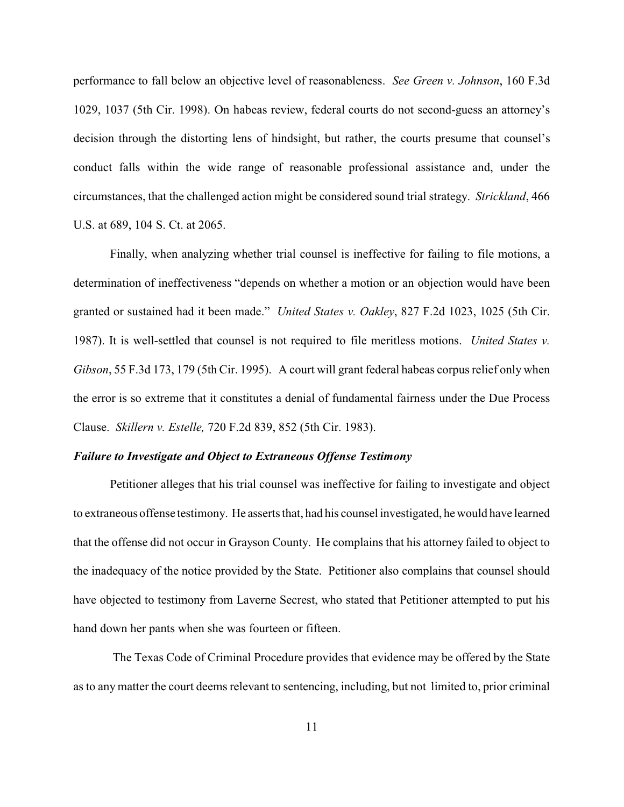performance to fall below an objective level of reasonableness. *See Green v. Johnson*, 160 F.3d 1029, 1037 (5th Cir. 1998). On habeas review, federal courts do not second-guess an attorney's decision through the distorting lens of hindsight, but rather, the courts presume that counsel's conduct falls within the wide range of reasonable professional assistance and, under the circumstances, that the challenged action might be considered sound trial strategy. *Strickland*, 466 U.S. at 689, 104 S. Ct. at 2065.

Finally, when analyzing whether trial counsel is ineffective for failing to file motions, a determination of ineffectiveness "depends on whether a motion or an objection would have been granted or sustained had it been made." *United States v. Oakley*, 827 F.2d 1023, 1025 (5th Cir. 1987). It is well-settled that counsel is not required to file meritless motions. *United States v. Gibson*, 55 F.3d 173, 179 (5th Cir. 1995). A court will grant federal habeas corpus relief only when the error is so extreme that it constitutes a denial of fundamental fairness under the Due Process Clause. *Skillern v. Estelle,* 720 F.2d 839, 852 (5th Cir. 1983).

## *Failure to Investigate and Object to Extraneous Offense Testimony*

Petitioner alleges that his trial counsel was ineffective for failing to investigate and object to extraneous offense testimony. He asserts that, had his counsel investigated, hewould have learned that the offense did not occur in Grayson County. He complains that his attorney failed to object to the inadequacy of the notice provided by the State. Petitioner also complains that counsel should have objected to testimony from Laverne Secrest, who stated that Petitioner attempted to put his hand down her pants when she was fourteen or fifteen.

The Texas Code of Criminal Procedure provides that evidence may be offered by the State as to any matter the court deems relevant to sentencing, including, but not limited to, prior criminal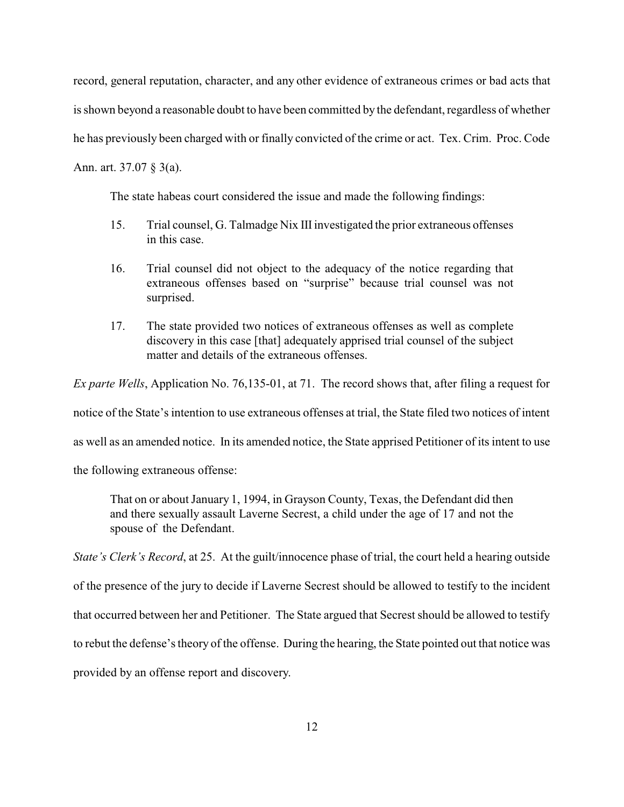record, general reputation, character, and any other evidence of extraneous crimes or bad acts that is shown beyond a reasonable doubt to have been committed by the defendant, regardless of whether he has previously been charged with or finally convicted of the crime or act. Tex. Crim. Proc. Code Ann. art. 37.07 § 3(a).

The state habeas court considered the issue and made the following findings:

- 15. Trial counsel, G. Talmadge Nix IIIinvestigated the prior extraneous offenses in this case.
- 16. Trial counsel did not object to the adequacy of the notice regarding that extraneous offenses based on "surprise" because trial counsel was not surprised.
- 17. The state provided two notices of extraneous offenses as well as complete discovery in this case [that] adequately apprised trial counsel of the subject matter and details of the extraneous offenses.

*Ex parte Wells*, Application No. 76,135-01, at 71. The record shows that, after filing a request for notice of the State's intention to use extraneous offenses at trial, the State filed two notices of intent as well as an amended notice. In its amended notice, the State apprised Petitioner of its intent to use the following extraneous offense:

That on or about January 1, 1994, in Grayson County, Texas, the Defendant did then and there sexually assault Laverne Secrest, a child under the age of 17 and not the spouse of the Defendant.

*State's Clerk's Record*, at 25. At the guilt/innocence phase of trial, the court held a hearing outside of the presence of the jury to decide if Laverne Secrest should be allowed to testify to the incident that occurred between her and Petitioner. The State argued that Secrest should be allowed to testify to rebut the defense's theory of the offense. During the hearing, the State pointed out that notice was provided by an offense report and discovery.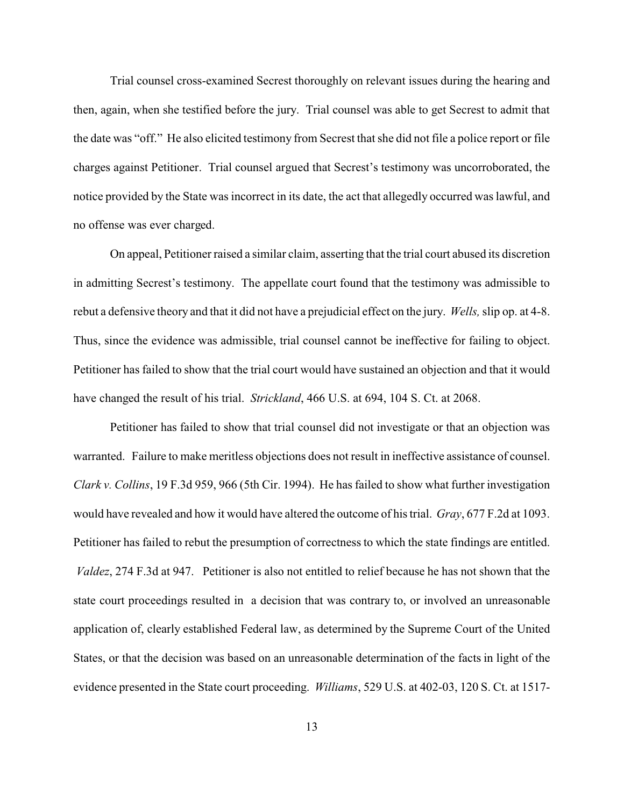Trial counsel cross-examined Secrest thoroughly on relevant issues during the hearing and then, again, when she testified before the jury. Trial counsel was able to get Secrest to admit that the date was "off." He also elicited testimony from Secrest that she did not file a police report or file charges against Petitioner. Trial counsel argued that Secrest's testimony was uncorroborated, the notice provided by the State was incorrect in its date, the act that allegedly occurred was lawful, and no offense was ever charged.

On appeal, Petitioner raised a similar claim, asserting that the trial court abused its discretion in admitting Secrest's testimony. The appellate court found that the testimony was admissible to rebut a defensive theory and that it did not have a prejudicial effect on the jury. *Wells,*slip op. at 4-8. Thus, since the evidence was admissible, trial counsel cannot be ineffective for failing to object. Petitioner has failed to show that the trial court would have sustained an objection and that it would have changed the result of his trial. *Strickland*, 466 U.S. at 694, 104 S. Ct. at 2068.

Petitioner has failed to show that trial counsel did not investigate or that an objection was warranted. Failure to make meritless objections does not result in ineffective assistance of counsel. *Clark v. Collins*, 19 F.3d 959, 966 (5th Cir. 1994). He has failed to show what further investigation would have revealed and how it would have altered the outcome of his trial. *Gray*, 677 F.2d at 1093. Petitioner has failed to rebut the presumption of correctness to which the state findings are entitled. *Valdez*, 274 F.3d at 947. Petitioner is also not entitled to relief because he has not shown that the state court proceedings resulted in a decision that was contrary to, or involved an unreasonable application of, clearly established Federal law, as determined by the Supreme Court of the United States, or that the decision was based on an unreasonable determination of the facts in light of the evidence presented in the State court proceeding. *Williams*, 529 U.S. at 402-03, 120 S. Ct. at 1517-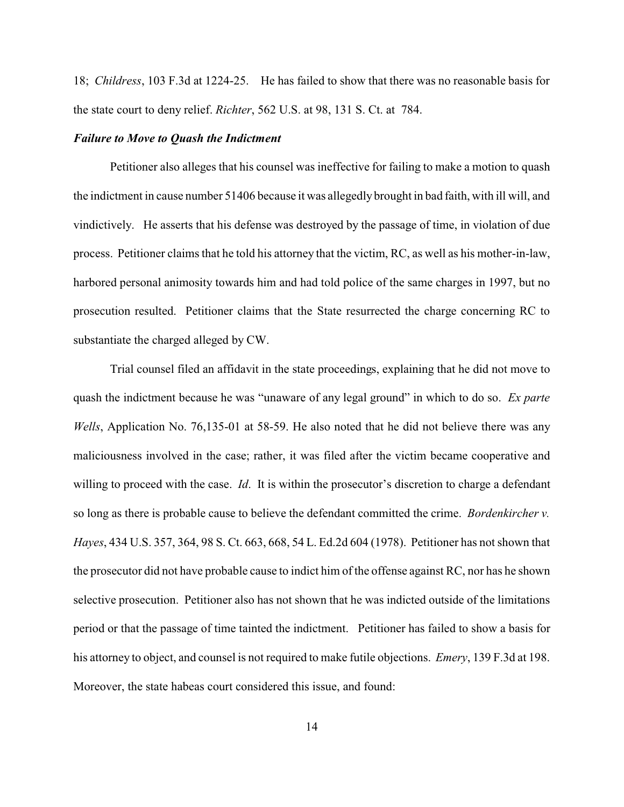18; *Childress*, 103 F.3d at 1224-25. He has failed to show that there was no reasonable basis for the state court to deny relief. *Richter*, 562 U.S. at 98, 131 S. Ct. at 784.

#### *Failure to Move to Quash the Indictment*

Petitioner also alleges that his counsel was ineffective for failing to make a motion to quash the indictment in cause number 51406 because it was allegedlybrought in bad faith, with ill will, and vindictively. He asserts that his defense was destroyed by the passage of time, in violation of due process. Petitioner claims that he told his attorney that the victim, RC, as well as his mother-in-law, harbored personal animosity towards him and had told police of the same charges in 1997, but no prosecution resulted. Petitioner claims that the State resurrected the charge concerning RC to substantiate the charged alleged by CW.

Trial counsel filed an affidavit in the state proceedings, explaining that he did not move to quash the indictment because he was "unaware of any legal ground" in which to do so. *Ex parte Wells*, Application No. 76,135-01 at 58-59. He also noted that he did not believe there was any maliciousness involved in the case; rather, it was filed after the victim became cooperative and willing to proceed with the case. *Id*. It is within the prosecutor's discretion to charge a defendant so long as there is probable cause to believe the defendant committed the crime. *Bordenkircher v. Hayes*, 434 U.S. 357, 364, 98 S. Ct. 663, 668, 54 L. Ed.2d 604 (1978). Petitioner has not shown that the prosecutor did not have probable cause to indict him of the offense against RC, nor has he shown selective prosecution. Petitioner also has not shown that he was indicted outside of the limitations period or that the passage of time tainted the indictment. Petitioner has failed to show a basis for his attorney to object, and counsel is not required to make futile objections. *Emery*, 139 F.3d at 198. Moreover, the state habeas court considered this issue, and found: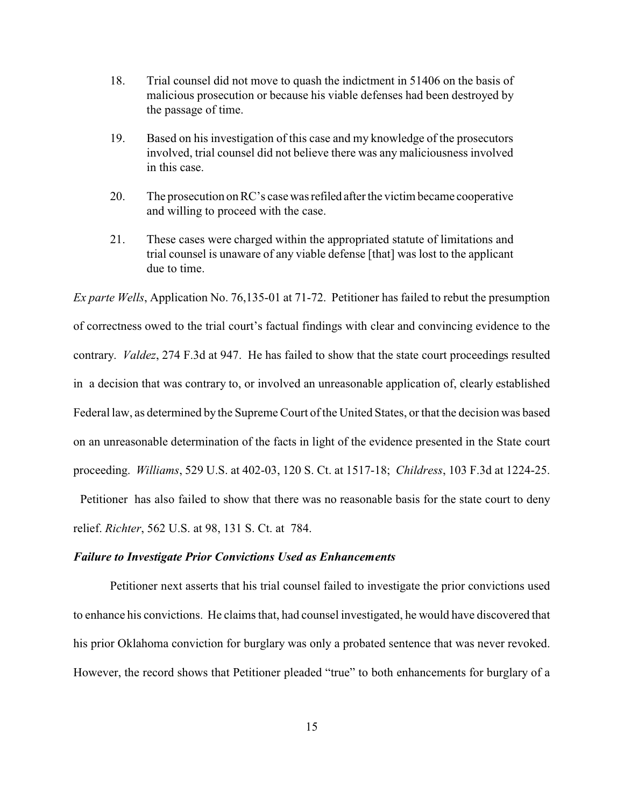- 18. Trial counsel did not move to quash the indictment in 51406 on the basis of malicious prosecution or because his viable defenses had been destroyed by the passage of time.
- 19. Based on his investigation of this case and my knowledge of the prosecutors involved, trial counsel did not believe there was any maliciousness involved in this case.
- 20. The prosecution on RC's case was refiled after the victim became cooperative and willing to proceed with the case.
- 21. These cases were charged within the appropriated statute of limitations and trial counsel is unaware of any viable defense [that] was lost to the applicant due to time.

*Ex parte Wells*, Application No. 76,135-01 at 71-72. Petitioner has failed to rebut the presumption of correctness owed to the trial court's factual findings with clear and convincing evidence to the contrary. *Valdez*, 274 F.3d at 947. He has failed to show that the state court proceedings resulted in a decision that was contrary to, or involved an unreasonable application of, clearly established Federal law, as determined by the Supreme Court of the United States, or that the decision was based on an unreasonable determination of the facts in light of the evidence presented in the State court proceeding. *Williams*, 529 U.S. at 402-03, 120 S. Ct. at 1517-18; *Childress*, 103 F.3d at 1224-25.

Petitioner has also failed to show that there was no reasonable basis for the state court to deny relief. *Richter*, 562 U.S. at 98, 131 S. Ct. at 784.

#### *Failure to Investigate Prior Convictions Used as Enhancements*

Petitioner next asserts that his trial counsel failed to investigate the prior convictions used to enhance his convictions. He claims that, had counsel investigated, he would have discovered that his prior Oklahoma conviction for burglary was only a probated sentence that was never revoked. However, the record shows that Petitioner pleaded "true" to both enhancements for burglary of a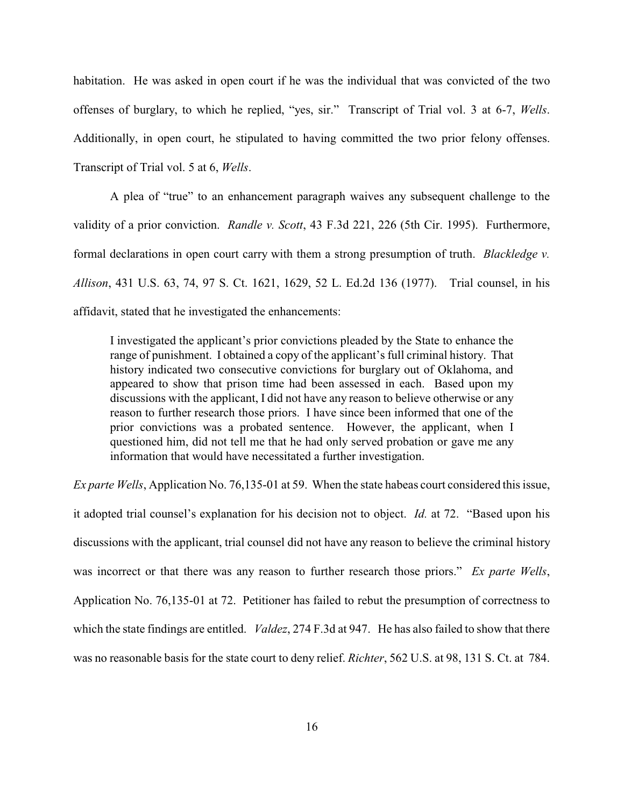habitation. He was asked in open court if he was the individual that was convicted of the two offenses of burglary, to which he replied, "yes, sir." Transcript of Trial vol. 3 at 6-7, *Wells*. Additionally, in open court, he stipulated to having committed the two prior felony offenses. Transcript of Trial vol. 5 at 6, *Wells*.

A plea of "true" to an enhancement paragraph waives any subsequent challenge to the validity of a prior conviction. *Randle v. Scott*, 43 F.3d 221, 226 (5th Cir. 1995). Furthermore, formal declarations in open court carry with them a strong presumption of truth. *Blackledge v. Allison*, 431 U.S. 63, 74, 97 S. Ct. 1621, 1629, 52 L. Ed.2d 136 (1977). Trial counsel, in his affidavit, stated that he investigated the enhancements:

I investigated the applicant's prior convictions pleaded by the State to enhance the range of punishment. I obtained a copy of the applicant's full criminal history. That history indicated two consecutive convictions for burglary out of Oklahoma, and appeared to show that prison time had been assessed in each. Based upon my discussions with the applicant, I did not have any reason to believe otherwise or any reason to further research those priors. I have since been informed that one of the prior convictions was a probated sentence. However, the applicant, when I questioned him, did not tell me that he had only served probation or gave me any information that would have necessitated a further investigation.

*Ex parte Wells*, Application No. 76,135-01 at 59. When the state habeas court considered this issue, it adopted trial counsel's explanation for his decision not to object. *Id.* at 72. "Based upon his discussions with the applicant, trial counsel did not have any reason to believe the criminal history was incorrect or that there was any reason to further research those priors." *Ex parte Wells*, Application No. 76,135-01 at 72. Petitioner has failed to rebut the presumption of correctness to which the state findings are entitled. *Valdez*, 274 F.3d at 947. He has also failed to show that there was no reasonable basis for the state court to deny relief. *Richter*, 562 U.S. at 98, 131 S. Ct. at 784.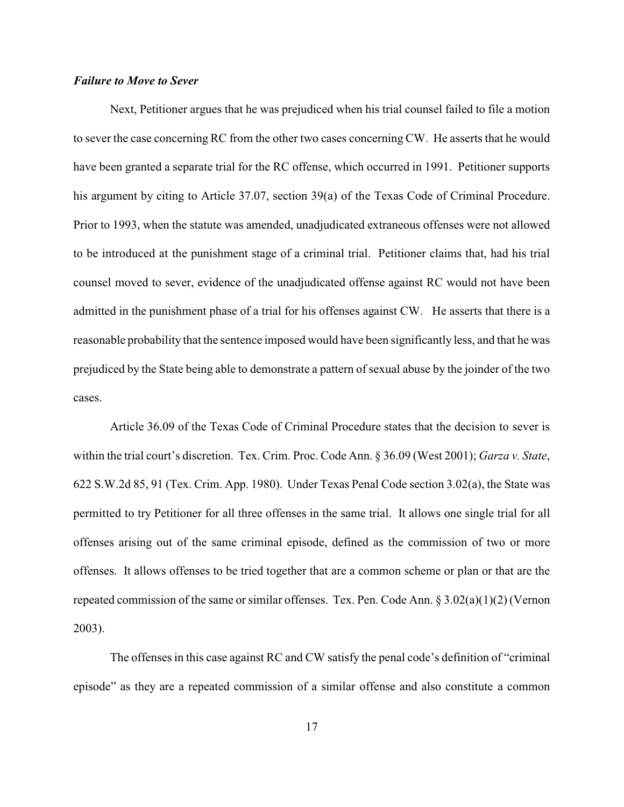# *Failure to Move to Sever*

Next, Petitioner argues that he was prejudiced when his trial counsel failed to file a motion to sever the case concerning RC from the other two cases concerning CW. He asserts that he would have been granted a separate trial for the RC offense, which occurred in 1991. Petitioner supports his argument by citing to Article 37.07, section 39(a) of the Texas Code of Criminal Procedure. Prior to 1993, when the statute was amended, unadjudicated extraneous offenses were not allowed to be introduced at the punishment stage of a criminal trial. Petitioner claims that, had his trial counsel moved to sever, evidence of the unadjudicated offense against RC would not have been admitted in the punishment phase of a trial for his offenses against CW. He asserts that there is a reasonable probability that the sentence imposed would have been significantly less, and that he was prejudiced by the State being able to demonstrate a pattern of sexual abuse by the joinder of the two cases.

Article 36.09 of the Texas Code of Criminal Procedure states that the decision to sever is within the trial court's discretion. Tex. Crim. Proc. Code Ann. § 36.09 (West 2001); *Garza v. State*, 622 S.W.2d 85, 91 (Tex. Crim. App. 1980). Under Texas Penal Code section 3.02(a), the State was permitted to try Petitioner for all three offenses in the same trial. It allows one single trial for all offenses arising out of the same criminal episode, defined as the commission of two or more offenses. It allows offenses to be tried together that are a common scheme or plan or that are the repeated commission of the same or similar offenses. Tex. Pen. Code Ann. § 3.02(a)(1)(2) (Vernon 2003).

The offenses in this case against RC and CW satisfy the penal code's definition of "criminal episode" as they are a repeated commission of a similar offense and also constitute a common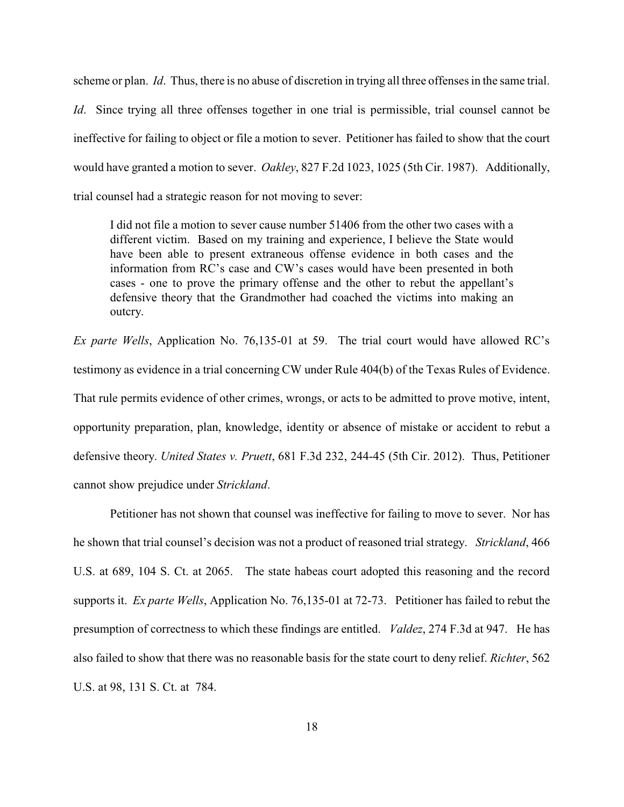scheme or plan. *Id*. Thus, there is no abuse of discretion in trying all three offenses in the same trial. *Id.* Since trying all three offenses together in one trial is permissible, trial counsel cannot be ineffective for failing to object or file a motion to sever. Petitioner has failed to show that the court would have granted a motion to sever. *Oakley*, 827 F.2d 1023, 1025 (5th Cir. 1987). Additionally, trial counsel had a strategic reason for not moving to sever:

I did not file a motion to sever cause number 51406 from the other two cases with a different victim. Based on my training and experience, I believe the State would have been able to present extraneous offense evidence in both cases and the information from RC's case and CW's cases would have been presented in both cases - one to prove the primary offense and the other to rebut the appellant's defensive theory that the Grandmother had coached the victims into making an outcry.

*Ex parte Wells*, Application No. 76,135-01 at 59. The trial court would have allowed RC's testimony as evidence in a trial concerning CW under Rule 404(b) of the Texas Rules of Evidence. That rule permits evidence of other crimes, wrongs, or acts to be admitted to prove motive, intent, opportunity preparation, plan, knowledge, identity or absence of mistake or accident to rebut a defensive theory. *United States v. Pruett*, 681 F.3d 232, 244-45 (5th Cir. 2012). Thus, Petitioner cannot show prejudice under *Strickland*.

Petitioner has not shown that counsel was ineffective for failing to move to sever. Nor has he shown that trial counsel's decision was not a product of reasoned trial strategy. *Strickland*, 466 U.S. at 689, 104 S. Ct. at 2065. The state habeas court adopted this reasoning and the record supports it. *Ex parte Wells*, Application No. 76,135-01 at 72-73. Petitioner has failed to rebut the presumption of correctness to which these findings are entitled. *Valdez*, 274 F.3d at 947. He has also failed to show that there was no reasonable basis for the state court to deny relief. *Richter*, 562 U.S. at 98, 131 S. Ct. at 784.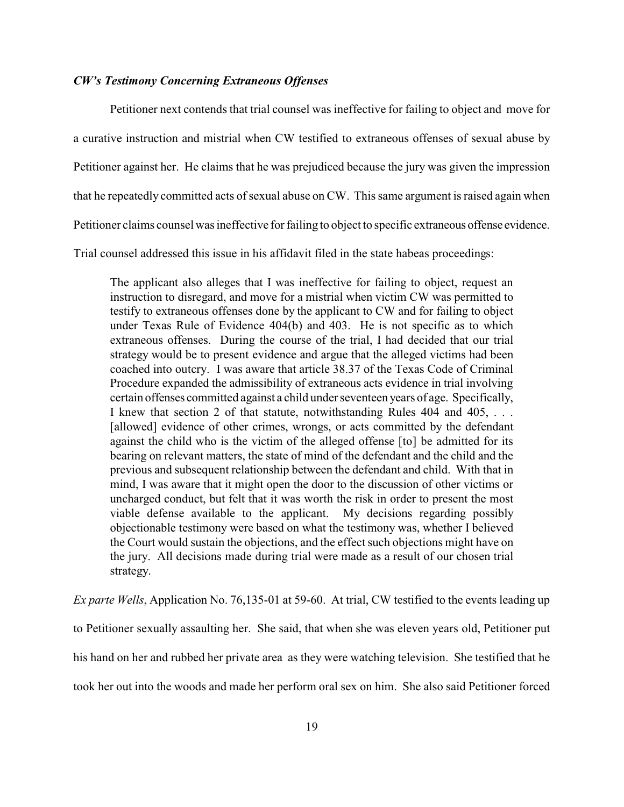### *CW's Testimony Concerning Extraneous Offenses*

Petitioner next contends that trial counsel was ineffective for failing to object and move for a curative instruction and mistrial when CW testified to extraneous offenses of sexual abuse by Petitioner against her. He claims that he was prejudiced because the jury was given the impression that he repeatedly committed acts of sexual abuse on CW. This same argument is raised again when Petitioner claims counsel was ineffective for failing to object to specific extraneous offense evidence. Trial counsel addressed this issue in his affidavit filed in the state habeas proceedings:

The applicant also alleges that I was ineffective for failing to object, request an instruction to disregard, and move for a mistrial when victim CW was permitted to testify to extraneous offenses done by the applicant to CW and for failing to object under Texas Rule of Evidence 404(b) and 403. He is not specific as to which extraneous offenses. During the course of the trial, I had decided that our trial strategy would be to present evidence and argue that the alleged victims had been coached into outcry. I was aware that article 38.37 of the Texas Code of Criminal Procedure expanded the admissibility of extraneous acts evidence in trial involving certain offenses committed against a child under seventeen years of age. Specifically, I knew that section 2 of that statute, notwithstanding Rules 404 and 405, . . . [allowed] evidence of other crimes, wrongs, or acts committed by the defendant against the child who is the victim of the alleged offense [to] be admitted for its bearing on relevant matters, the state of mind of the defendant and the child and the previous and subsequent relationship between the defendant and child. With that in mind, I was aware that it might open the door to the discussion of other victims or uncharged conduct, but felt that it was worth the risk in order to present the most viable defense available to the applicant. My decisions regarding possibly objectionable testimony were based on what the testimony was, whether I believed the Court would sustain the objections, and the effect such objections might have on the jury. All decisions made during trial were made as a result of our chosen trial strategy.

*Ex parte Wells*, Application No. 76,135-01 at 59-60. At trial, CW testified to the events leading up to Petitioner sexually assaulting her. She said, that when she was eleven years old, Petitioner put his hand on her and rubbed her private area as they were watching television. She testified that he took her out into the woods and made her perform oral sex on him. She also said Petitioner forced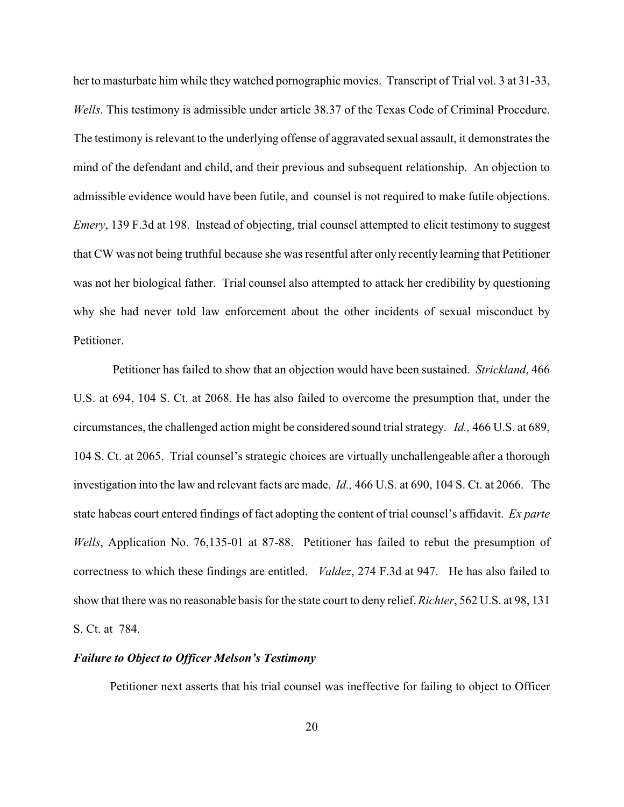her to masturbate him while they watched pornographic movies. Transcript of Trial vol. 3 at 31-33, *Wells*. This testimony is admissible under article 38.37 of the Texas Code of Criminal Procedure. The testimony is relevant to the underlying offense of aggravated sexual assault, it demonstrates the mind of the defendant and child, and their previous and subsequent relationship. An objection to admissible evidence would have been futile, and counsel is not required to make futile objections. *Emery*, 139 F.3d at 198. Instead of objecting, trial counsel attempted to elicit testimony to suggest that CW was not being truthful because she was resentful after only recently learning that Petitioner was not her biological father. Trial counsel also attempted to attack her credibility by questioning why she had never told law enforcement about the other incidents of sexual misconduct by Petitioner.

Petitioner has failed to show that an objection would have been sustained. *Strickland*, 466 U.S. at 694, 104 S. Ct. at 2068. He has also failed to overcome the presumption that, under the circumstances, the challenged action might be considered sound trial strategy. *Id.,* 466 U.S. at 689, 104 S. Ct. at 2065. Trial counsel's strategic choices are virtually unchallengeable after a thorough investigation into the law and relevant facts are made. *Id.,* 466 U.S. at 690, 104 S. Ct. at 2066. The state habeas court entered findings of fact adopting the content of trial counsel's affidavit. *Ex parte Wells*, Application No. 76,135-01 at 87-88. Petitioner has failed to rebut the presumption of correctness to which these findings are entitled. *Valdez*, 274 F.3d at 947. He has also failed to show that there was no reasonable basis for the state court to deny relief. *Richter*, 562 U.S. at 98, 131 S. Ct. at 784.

### *Failure to Object to Officer Melson's Testimony*

Petitioner next asserts that his trial counsel was ineffective for failing to object to Officer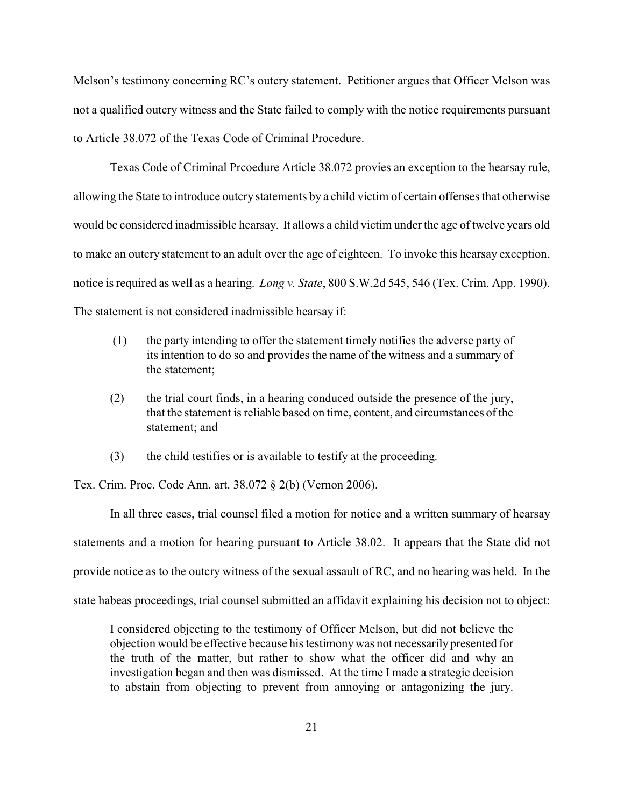Melson's testimony concerning RC's outcry statement. Petitioner argues that Officer Melson was not a qualified outcry witness and the State failed to comply with the notice requirements pursuant to Article 38.072 of the Texas Code of Criminal Procedure.

Texas Code of Criminal Prcoedure Article 38.072 provies an exception to the hearsay rule, allowing the State to introduce outcry statements by a child victim of certain offenses that otherwise would be considered inadmissible hearsay. It allows a child victim under the age of twelve years old to make an outcry statement to an adult over the age of eighteen. To invoke this hearsay exception, notice is required as well as a hearing. *Long v. State*, 800 S.W.2d 545, 546 (Tex. Crim. App. 1990). The statement is not considered inadmissible hearsay if:

- (1) the party intending to offer the statement timely notifies the adverse party of its intention to do so and provides the name of the witness and a summary of the statement;
- (2) the trial court finds, in a hearing conduced outside the presence of the jury, that the statement is reliable based on time, content, and circumstances of the statement; and
- (3) the child testifies or is available to testify at the proceeding.

Tex. Crim. Proc. Code Ann. art. 38.072 § 2(b) (Vernon 2006).

In all three cases, trial counsel filed a motion for notice and a written summary of hearsay statements and a motion for hearing pursuant to Article 38.02. It appears that the State did not provide notice as to the outcry witness of the sexual assault of RC, and no hearing was held. In the state habeas proceedings, trial counsel submitted an affidavit explaining his decision not to object:

I considered objecting to the testimony of Officer Melson, but did not believe the objection would be effective because his testimonywas not necessarilypresented for the truth of the matter, but rather to show what the officer did and why an investigation began and then was dismissed. At the time I made a strategic decision to abstain from objecting to prevent from annoying or antagonizing the jury.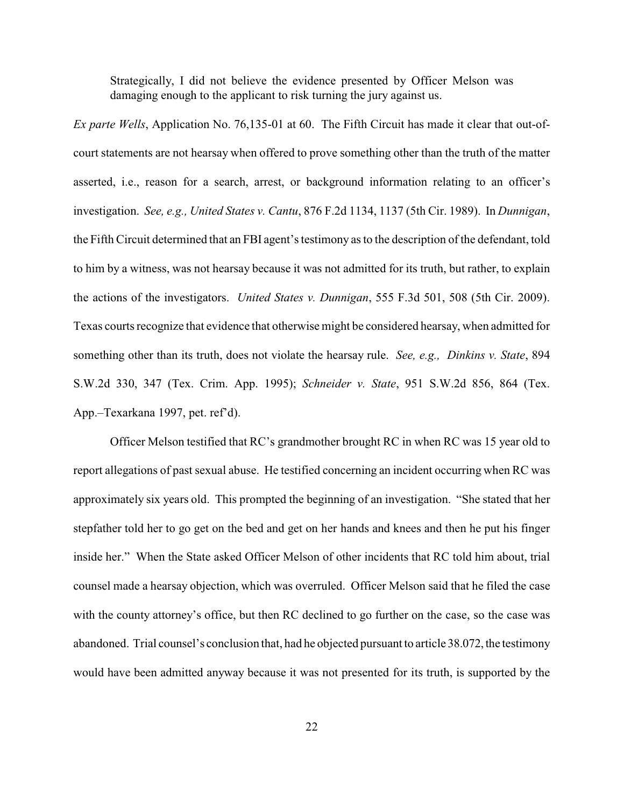Strategically, I did not believe the evidence presented by Officer Melson was damaging enough to the applicant to risk turning the jury against us.

*Ex parte Wells*, Application No. 76,135-01 at 60. The Fifth Circuit has made it clear that out-ofcourt statements are not hearsay when offered to prove something other than the truth of the matter asserted, i.e., reason for a search, arrest, or background information relating to an officer's investigation. *See, e.g., United States v. Cantu*, 876 F.2d 1134, 1137 (5th Cir. 1989). In *Dunnigan*, the Fifth Circuit determined that an FBI agent's testimony as to the description of the defendant, told to him by a witness, was not hearsay because it was not admitted for its truth, but rather, to explain the actions of the investigators. *United States v. Dunnigan*, 555 F.3d 501, 508 (5th Cir. 2009). Texas courts recognize that evidence that otherwise might be considered hearsay, when admitted for something other than its truth, does not violate the hearsay rule. *See, e.g., Dinkins v. State*, 894 S.W.2d 330, 347 (Tex. Crim. App. 1995); *Schneider v. State*, 951 S.W.2d 856, 864 (Tex. App.–Texarkana 1997, pet. ref'd).

Officer Melson testified that RC's grandmother brought RC in when RC was 15 year old to report allegations of past sexual abuse. He testified concerning an incident occurring when RC was approximately six years old. This prompted the beginning of an investigation. "She stated that her stepfather told her to go get on the bed and get on her hands and knees and then he put his finger inside her." When the State asked Officer Melson of other incidents that RC told him about, trial counsel made a hearsay objection, which was overruled. Officer Melson said that he filed the case with the county attorney's office, but then RC declined to go further on the case, so the case was abandoned. Trial counsel's conclusion that, had he objected pursuant to article 38.072, the testimony would have been admitted anyway because it was not presented for its truth, is supported by the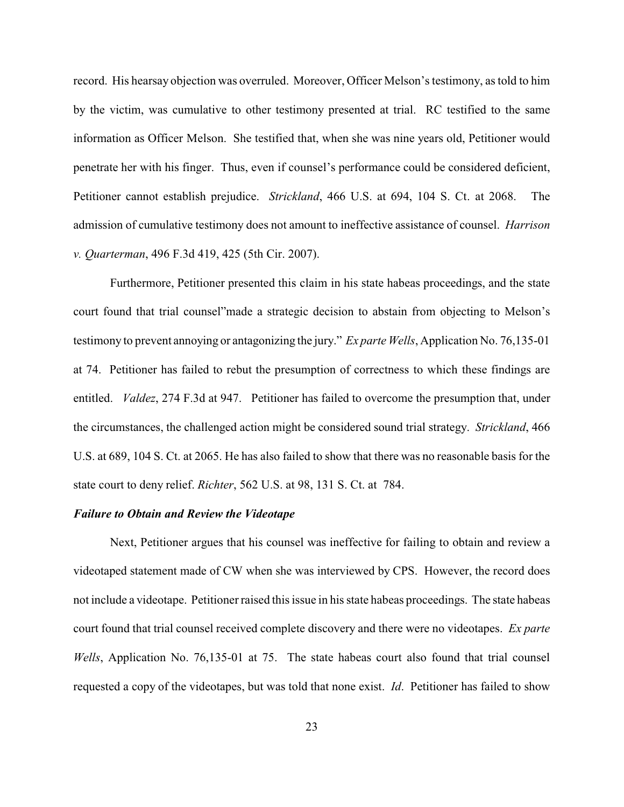record. His hearsay objection was overruled. Moreover, Officer Melson's testimony, as told to him by the victim, was cumulative to other testimony presented at trial. RC testified to the same information as Officer Melson. She testified that, when she was nine years old, Petitioner would penetrate her with his finger. Thus, even if counsel's performance could be considered deficient, Petitioner cannot establish prejudice. *Strickland*, 466 U.S. at 694, 104 S. Ct. at 2068. The admission of cumulative testimony does not amount to ineffective assistance of counsel. *Harrison v. Quarterman*, 496 F.3d 419, 425 (5th Cir. 2007).

Furthermore, Petitioner presented this claim in his state habeas proceedings, and the state court found that trial counsel"made a strategic decision to abstain from objecting to Melson's testimony to prevent annoying or antagonizing the jury." *Ex parte Wells*, Application No. 76,135-01 at 74. Petitioner has failed to rebut the presumption of correctness to which these findings are entitled. *Valdez*, 274 F.3d at 947. Petitioner has failed to overcome the presumption that, under the circumstances, the challenged action might be considered sound trial strategy. *Strickland*, 466 U.S. at 689, 104 S. Ct. at 2065. He has also failed to show that there was no reasonable basis for the state court to deny relief. *Richter*, 562 U.S. at 98, 131 S. Ct. at 784.

### *Failure to Obtain and Review the Videotape*

Next, Petitioner argues that his counsel was ineffective for failing to obtain and review a videotaped statement made of CW when she was interviewed by CPS. However, the record does not include a videotape. Petitioner raised this issue in his state habeas proceedings. The state habeas court found that trial counsel received complete discovery and there were no videotapes. *Ex parte Wells*, Application No. 76,135-01 at 75. The state habeas court also found that trial counsel requested a copy of the videotapes, but was told that none exist. *Id*. Petitioner has failed to show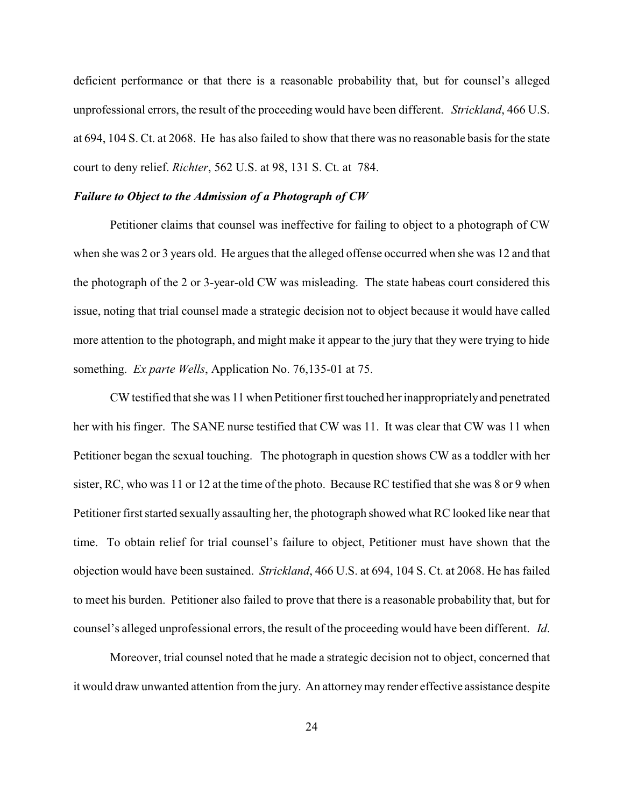deficient performance or that there is a reasonable probability that, but for counsel's alleged unprofessional errors, the result of the proceeding would have been different. *Strickland*, 466 U.S. at 694, 104 S. Ct. at 2068. He has also failed to show that there was no reasonable basis for the state court to deny relief. *Richter*, 562 U.S. at 98, 131 S. Ct. at 784.

## *Failure to Object to the Admission of a Photograph of CW*

Petitioner claims that counsel was ineffective for failing to object to a photograph of CW when she was 2 or 3 years old. He argues that the alleged offense occurred when she was 12 and that the photograph of the 2 or 3-year-old CW was misleading. The state habeas court considered this issue, noting that trial counsel made a strategic decision not to object because it would have called more attention to the photograph, and might make it appear to the jury that they were trying to hide something. *Ex parte Wells*, Application No. 76,135-01 at 75.

CW testified that she was 11 when Petitioner first touched her inappropriatelyand penetrated her with his finger. The SANE nurse testified that CW was 11. It was clear that CW was 11 when Petitioner began the sexual touching. The photograph in question shows CW as a toddler with her sister, RC, who was 11 or 12 at the time of the photo. Because RC testified that she was 8 or 9 when Petitioner first started sexually assaulting her, the photograph showed what RC looked like near that time. To obtain relief for trial counsel's failure to object, Petitioner must have shown that the objection would have been sustained. *Strickland*, 466 U.S. at 694, 104 S. Ct. at 2068. He has failed to meet his burden. Petitioner also failed to prove that there is a reasonable probability that, but for counsel's alleged unprofessional errors, the result of the proceeding would have been different. *Id*.

Moreover, trial counsel noted that he made a strategic decision not to object, concerned that it would draw unwanted attention from the jury. An attorneymay render effective assistance despite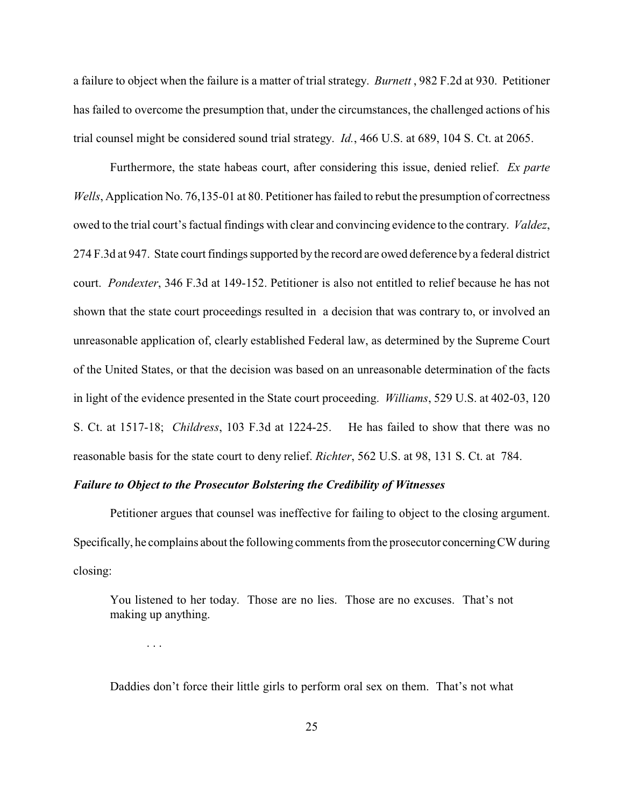a failure to object when the failure is a matter of trial strategy. *Burnett* , 982 F.2d at 930. Petitioner has failed to overcome the presumption that, under the circumstances, the challenged actions of his trial counsel might be considered sound trial strategy. *Id.*, 466 U.S. at 689, 104 S. Ct. at 2065.

Furthermore, the state habeas court, after considering this issue, denied relief. *Ex parte Wells*, Application No. 76,135-01 at 80. Petitioner has failed to rebut the presumption of correctness owed to the trial court's factual findings with clear and convincing evidence to the contrary. *Valdez*, 274 F.3d at 947. State court findings supported by the record are owed deference by a federal district court. *Pondexter*, 346 F.3d at 149-152. Petitioner is also not entitled to relief because he has not shown that the state court proceedings resulted in a decision that was contrary to, or involved an unreasonable application of, clearly established Federal law, as determined by the Supreme Court of the United States, or that the decision was based on an unreasonable determination of the facts in light of the evidence presented in the State court proceeding. *Williams*, 529 U.S. at 402-03, 120 S. Ct. at 1517-18; *Childress*, 103 F.3d at 1224-25. He has failed to show that there was no reasonable basis for the state court to deny relief. *Richter*, 562 U.S. at 98, 131 S. Ct. at 784.

### *Failure to Object to the Prosecutor Bolstering the Credibility of Witnesses*

. . .

Petitioner argues that counsel was ineffective for failing to object to the closing argument. Specifically, he complains about the following comments from the prosecutor concerningCW during closing:

You listened to her today. Those are no lies. Those are no excuses. That's not making up anything.

Daddies don't force their little girls to perform oral sex on them. That's not what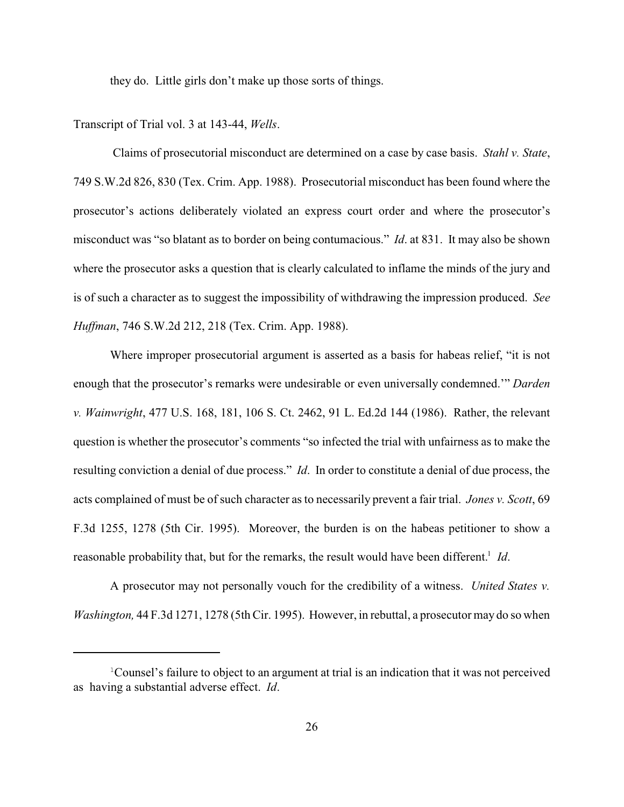they do. Little girls don't make up those sorts of things.

Transcript of Trial vol. 3 at 143-44, *Wells*.

Claims of prosecutorial misconduct are determined on a case by case basis. *Stahl v. State*, 749 S.W.2d 826, 830 (Tex. Crim. App. 1988). Prosecutorial misconduct has been found where the prosecutor's actions deliberately violated an express court order and where the prosecutor's misconduct was "so blatant as to border on being contumacious." *Id*. at 831. It may also be shown where the prosecutor asks a question that is clearly calculated to inflame the minds of the jury and is of such a character as to suggest the impossibility of withdrawing the impression produced. *See Huffman*, 746 S.W.2d 212, 218 (Tex. Crim. App. 1988).

Where improper prosecutorial argument is asserted as a basis for habeas relief, "it is not enough that the prosecutor's remarks were undesirable or even universally condemned.'" *Darden v. Wainwright*, 477 U.S. 168, 181, 106 S. Ct. 2462, 91 L. Ed.2d 144 (1986). Rather, the relevant question is whether the prosecutor's comments "so infected the trial with unfairness as to make the resulting conviction a denial of due process." *Id*. In order to constitute a denial of due process, the acts complained of must be of such character as to necessarily prevent a fair trial. *Jones v. Scott*, 69 F.3d 1255, 1278 (5th Cir. 1995). Moreover, the burden is on the habeas petitioner to show a reasonable probability that, but for the remarks, the result would have been different.<sup>1</sup> Id.

A prosecutor may not personally vouch for the credibility of a witness. *United States v. Washington,* 44 F.3d 1271, 1278 (5th Cir. 1995). However, in rebuttal, a prosecutor may do so when

<sup>&</sup>lt;sup>1</sup>Counsel's failure to object to an argument at trial is an indication that it was not perceived as having a substantial adverse effect. *Id*.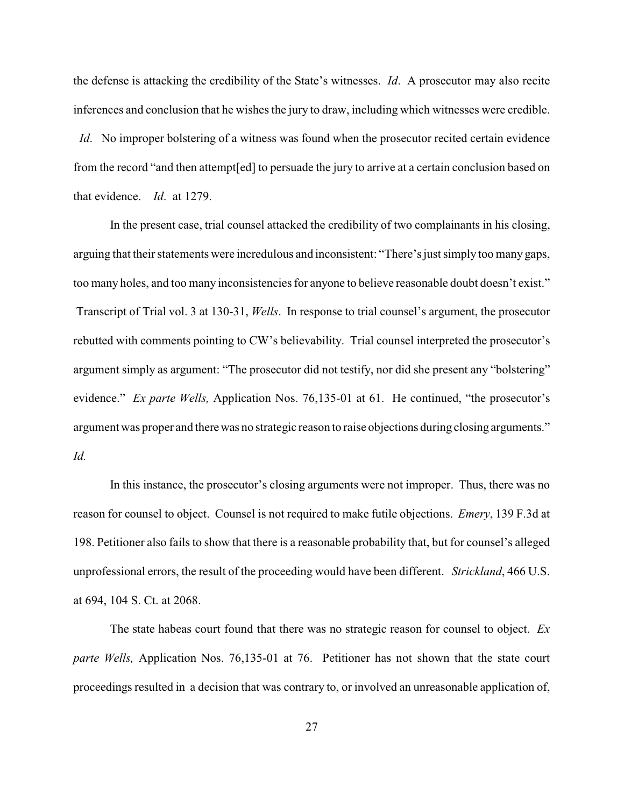the defense is attacking the credibility of the State's witnesses. *Id*. A prosecutor may also recite inferences and conclusion that he wishes the jury to draw, including which witnesses were credible.

*Id.* No improper bolstering of a witness was found when the prosecutor recited certain evidence from the record "and then attempt[ed] to persuade the jury to arrive at a certain conclusion based on that evidence. *Id*. at 1279.

In the present case, trial counsel attacked the credibility of two complainants in his closing, arguing that their statements were incredulous and inconsistent: "There's just simply too many gaps, too many holes, and too many inconsistencies for anyone to believe reasonable doubt doesn't exist." Transcript of Trial vol. 3 at 130-31, *Wells*. In response to trial counsel's argument, the prosecutor rebutted with comments pointing to CW's believability. Trial counsel interpreted the prosecutor's argument simply as argument: "The prosecutor did not testify, nor did she present any "bolstering" evidence." *Ex parte Wells,* Application Nos. 76,135-01 at 61. He continued, "the prosecutor's argument was proper and therewas no strategic reason to raise objections during closing arguments." *Id.*

In this instance, the prosecutor's closing arguments were not improper. Thus, there was no reason for counsel to object. Counsel is not required to make futile objections. *Emery*, 139 F.3d at 198. Petitioner also fails to show that there is a reasonable probability that, but for counsel's alleged unprofessional errors, the result of the proceeding would have been different. *Strickland*, 466 U.S. at 694, 104 S. Ct. at 2068.

The state habeas court found that there was no strategic reason for counsel to object. *Ex parte Wells,* Application Nos. 76,135-01 at 76. Petitioner has not shown that the state court proceedings resulted in a decision that was contrary to, or involved an unreasonable application of,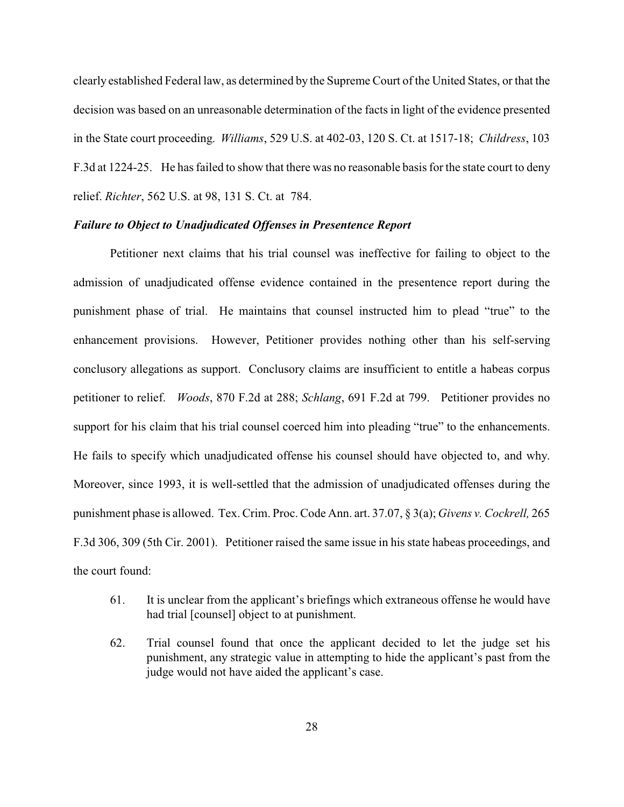clearly established Federal law, as determined by the Supreme Court of the United States, or that the decision was based on an unreasonable determination of the facts in light of the evidence presented in the State court proceeding. *Williams*, 529 U.S. at 402-03, 120 S. Ct. at 1517-18; *Childress*, 103 F.3d at 1224-25. He has failed to show that there was no reasonable basis for the state court to deny relief. *Richter*, 562 U.S. at 98, 131 S. Ct. at 784.

#### *Failure to Object to Unadjudicated Offenses in Presentence Report*

Petitioner next claims that his trial counsel was ineffective for failing to object to the admission of unadjudicated offense evidence contained in the presentence report during the punishment phase of trial. He maintains that counsel instructed him to plead "true" to the enhancement provisions. However, Petitioner provides nothing other than his self-serving conclusory allegations as support. Conclusory claims are insufficient to entitle a habeas corpus petitioner to relief. *Woods*, 870 F.2d at 288; *Schlang*, 691 F.2d at 799. Petitioner provides no support for his claim that his trial counsel coerced him into pleading "true" to the enhancements. He fails to specify which unadjudicated offense his counsel should have objected to, and why. Moreover, since 1993, it is well-settled that the admission of unadjudicated offenses during the punishment phase is allowed. Tex. Crim. Proc. Code Ann. art. 37.07, § 3(a); *Givens v. Cockrell,* 265 F.3d 306, 309 (5th Cir. 2001). Petitioner raised the same issue in his state habeas proceedings, and the court found:

- 61. It is unclear from the applicant's briefings which extraneous offense he would have had trial [counsel] object to at punishment.
- 62. Trial counsel found that once the applicant decided to let the judge set his punishment, any strategic value in attempting to hide the applicant's past from the judge would not have aided the applicant's case.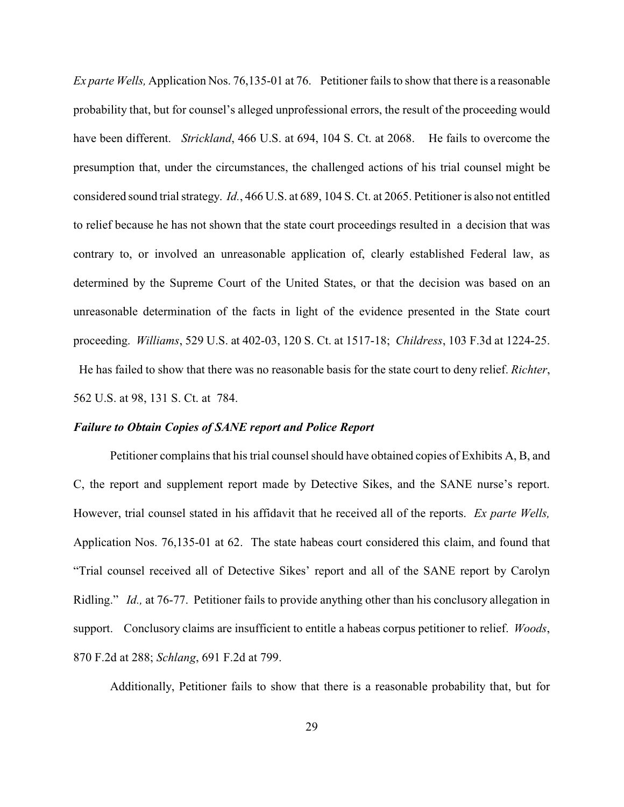*Ex parte Wells,* Application Nos. 76,135-01 at 76. Petitioner fails to show that there is a reasonable probability that, but for counsel's alleged unprofessional errors, the result of the proceeding would have been different. *Strickland*, 466 U.S. at 694, 104 S. Ct. at 2068. He fails to overcome the presumption that, under the circumstances, the challenged actions of his trial counsel might be considered sound trial strategy. *Id.*, 466 U.S. at 689, 104 S. Ct. at 2065. Petitioner is also not entitled to relief because he has not shown that the state court proceedings resulted in a decision that was contrary to, or involved an unreasonable application of, clearly established Federal law, as determined by the Supreme Court of the United States, or that the decision was based on an unreasonable determination of the facts in light of the evidence presented in the State court proceeding. *Williams*, 529 U.S. at 402-03, 120 S. Ct. at 1517-18; *Childress*, 103 F.3d at 1224-25. He has failed to show that there was no reasonable basis for the state court to deny relief. *Richter*, 562 U.S. at 98, 131 S. Ct. at 784.

#### *Failure to Obtain Copies of SANE report and Police Report*

Petitioner complains that his trial counsel should have obtained copies of Exhibits A, B, and C, the report and supplement report made by Detective Sikes, and the SANE nurse's report. However, trial counsel stated in his affidavit that he received all of the reports. *Ex parte Wells,* Application Nos. 76,135-01 at 62. The state habeas court considered this claim, and found that "Trial counsel received all of Detective Sikes' report and all of the SANE report by Carolyn Ridling." *Id.,* at 76-77. Petitioner fails to provide anything other than his conclusory allegation in support. Conclusory claims are insufficient to entitle a habeas corpus petitioner to relief. *Woods*, 870 F.2d at 288; *Schlang*, 691 F.2d at 799.

Additionally, Petitioner fails to show that there is a reasonable probability that, but for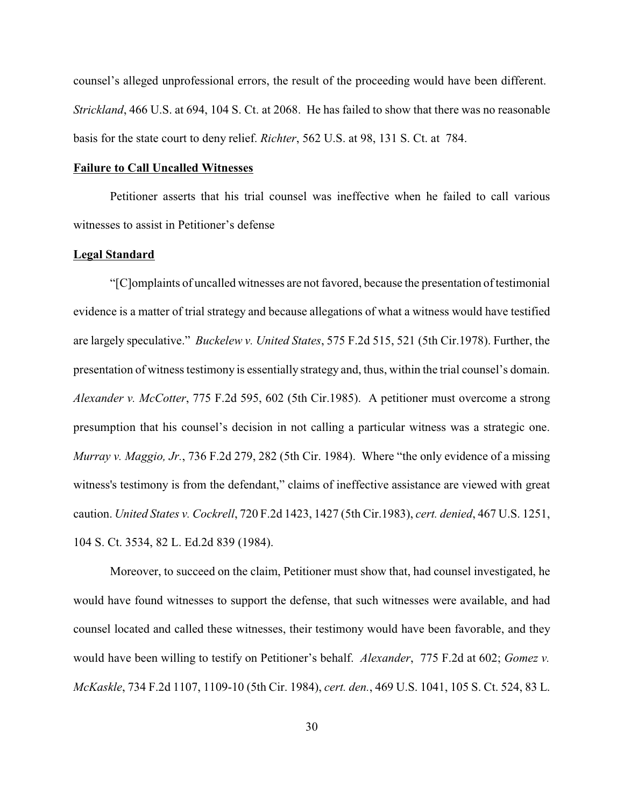counsel's alleged unprofessional errors, the result of the proceeding would have been different. *Strickland*, 466 U.S. at 694, 104 S. Ct. at 2068. He has failed to show that there was no reasonable basis for the state court to deny relief. *Richter*, 562 U.S. at 98, 131 S. Ct. at 784.

## **Failure to Call Uncalled Witnesses**

Petitioner asserts that his trial counsel was ineffective when he failed to call various witnesses to assist in Petitioner's defense

### **Legal Standard**

"[C]omplaints of uncalled witnesses are not favored, because the presentation of testimonial evidence is a matter of trial strategy and because allegations of what a witness would have testified are largely speculative." *Buckelew v. United States*, 575 F.2d 515, 521 (5th Cir.1978). Further, the presentation of witness testimony is essentially strategy and, thus, within the trial counsel's domain. *Alexander v. McCotter*, 775 F.2d 595, 602 (5th Cir.1985). A petitioner must overcome a strong presumption that his counsel's decision in not calling a particular witness was a strategic one. *Murray v. Maggio, Jr.*, 736 F.2d 279, 282 (5th Cir. 1984). Where "the only evidence of a missing witness's testimony is from the defendant," claims of ineffective assistance are viewed with great caution. *United States v. Cockrell*, 720 F.2d 1423, 1427 (5th Cir.1983), *cert. denied*, 467 U.S. 1251, 104 S. Ct. 3534, 82 L. Ed.2d 839 (1984).

Moreover, to succeed on the claim, Petitioner must show that, had counsel investigated, he would have found witnesses to support the defense, that such witnesses were available, and had counsel located and called these witnesses, their testimony would have been favorable, and they would have been willing to testify on Petitioner's behalf. *Alexander*, 775 F.2d at 602; *Gomez v. McKaskle*, 734 F.2d 1107, 1109-10 (5th Cir. 1984), *cert. den.*, 469 U.S. 1041, 105 S. Ct. 524, 83 L.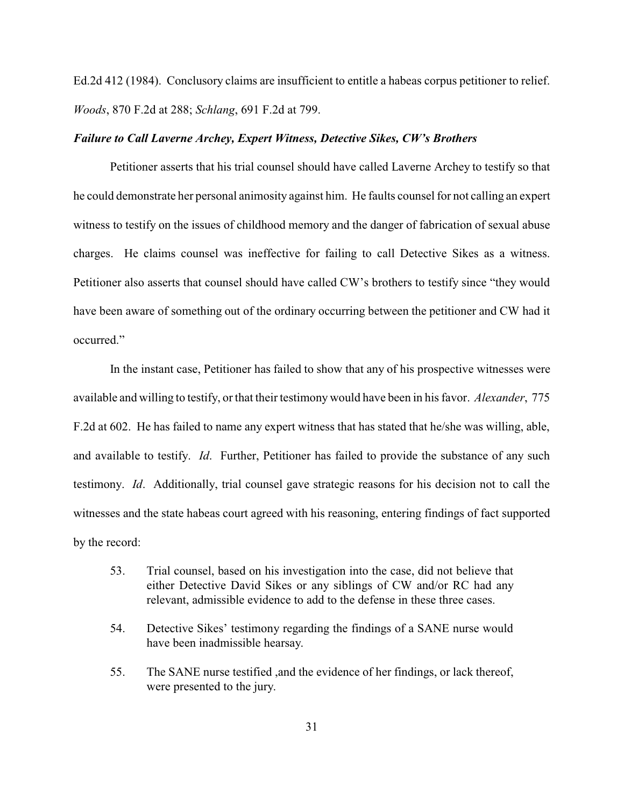Ed.2d 412 (1984). Conclusory claims are insufficient to entitle a habeas corpus petitioner to relief. *Woods*, 870 F.2d at 288; *Schlang*, 691 F.2d at 799.

#### *Failure to Call Laverne Archey, Expert Witness, Detective Sikes, CW's Brothers*

Petitioner asserts that his trial counsel should have called Laverne Archey to testify so that he could demonstrate her personal animosity against him. He faults counsel for not calling an expert witness to testify on the issues of childhood memory and the danger of fabrication of sexual abuse charges. He claims counsel was ineffective for failing to call Detective Sikes as a witness. Petitioner also asserts that counsel should have called CW's brothers to testify since "they would have been aware of something out of the ordinary occurring between the petitioner and CW had it occurred."

In the instant case, Petitioner has failed to show that any of his prospective witnesses were available and willing to testify, or that their testimony would have been in his favor. *Alexander*, 775 F.2d at 602. He has failed to name any expert witness that has stated that he/she was willing, able, and available to testify. *Id*. Further, Petitioner has failed to provide the substance of any such testimony. *Id*. Additionally, trial counsel gave strategic reasons for his decision not to call the witnesses and the state habeas court agreed with his reasoning, entering findings of fact supported by the record:

- 53. Trial counsel, based on his investigation into the case, did not believe that either Detective David Sikes or any siblings of CW and/or RC had any relevant, admissible evidence to add to the defense in these three cases.
- 54. Detective Sikes' testimony regarding the findings of a SANE nurse would have been inadmissible hearsay.
- 55. The SANE nurse testified ,and the evidence of her findings, or lack thereof, were presented to the jury.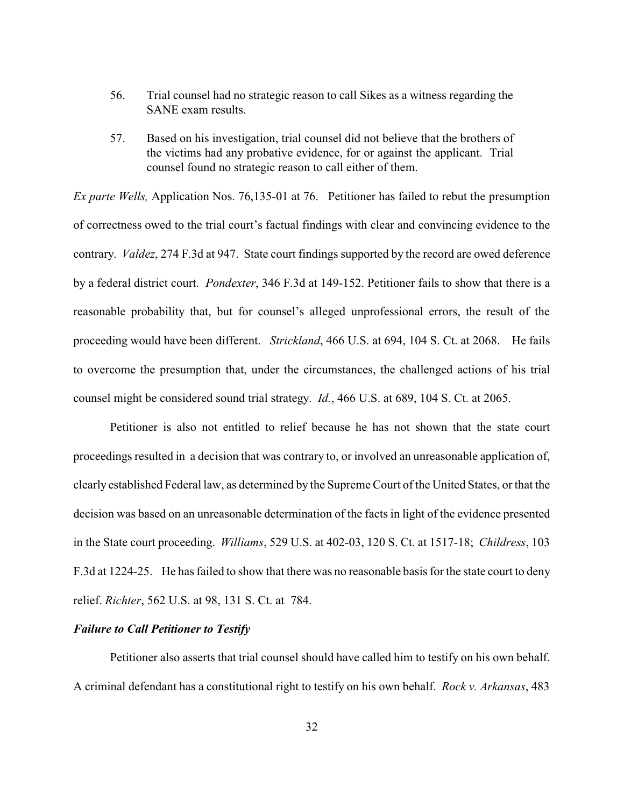- 56. Trial counsel had no strategic reason to call Sikes as a witness regarding the SANE exam results.
- 57. Based on his investigation, trial counsel did not believe that the brothers of the victims had any probative evidence, for or against the applicant. Trial counsel found no strategic reason to call either of them.

*Ex parte Wells,* Application Nos. 76,135-01 at 76. Petitioner has failed to rebut the presumption of correctness owed to the trial court's factual findings with clear and convincing evidence to the contrary. *Valdez*, 274 F.3d at 947. State court findings supported by the record are owed deference by a federal district court. *Pondexter*, 346 F.3d at 149-152. Petitioner fails to show that there is a reasonable probability that, but for counsel's alleged unprofessional errors, the result of the proceeding would have been different. *Strickland*, 466 U.S. at 694, 104 S. Ct. at 2068. He fails to overcome the presumption that, under the circumstances, the challenged actions of his trial counsel might be considered sound trial strategy. *Id.*, 466 U.S. at 689, 104 S. Ct. at 2065.

Petitioner is also not entitled to relief because he has not shown that the state court proceedings resulted in a decision that was contrary to, or involved an unreasonable application of, clearly established Federal law, as determined by the Supreme Court of the United States, or that the decision was based on an unreasonable determination of the facts in light of the evidence presented in the State court proceeding. *Williams*, 529 U.S. at 402-03, 120 S. Ct. at 1517-18; *Childress*, 103 F.3d at 1224-25. He has failed to show that there was no reasonable basis for the state court to deny relief. *Richter*, 562 U.S. at 98, 131 S. Ct. at 784.

### *Failure to Call Petitioner to Testify*

Petitioner also asserts that trial counsel should have called him to testify on his own behalf. A criminal defendant has a constitutional right to testify on his own behalf. *Rock v. Arkansas*, 483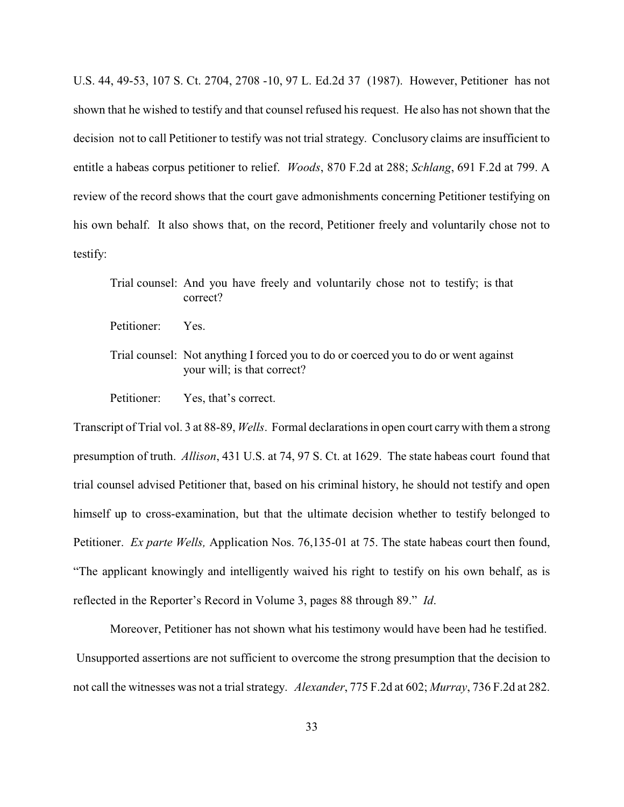U.S. 44, 49-53, 107 S. Ct. 2704, 2708 -10, 97 L. Ed.2d 37 (1987). However, Petitioner has not shown that he wished to testify and that counsel refused his request. He also has not shown that the decision not to call Petitioner to testify was not trial strategy. Conclusory claims are insufficient to entitle a habeas corpus petitioner to relief. *Woods*, 870 F.2d at 288; *Schlang*, 691 F.2d at 799. A review of the record shows that the court gave admonishments concerning Petitioner testifying on his own behalf. It also shows that, on the record, Petitioner freely and voluntarily chose not to testify:

Trial counsel: And you have freely and voluntarily chose not to testify; is that correct?

Petitioner: Yes.

Trial counsel: Not anything I forced you to do or coerced you to do or went against your will; is that correct?

Petitioner: Yes, that's correct.

Transcript of Trial vol. 3 at 88-89, *Wells*. Formal declarations in open court carrywith them a strong presumption of truth. *Allison*, 431 U.S. at 74, 97 S. Ct. at 1629. The state habeas court found that trial counsel advised Petitioner that, based on his criminal history, he should not testify and open himself up to cross-examination, but that the ultimate decision whether to testify belonged to Petitioner. *Ex parte Wells,* Application Nos. 76,135-01 at 75. The state habeas court then found, "The applicant knowingly and intelligently waived his right to testify on his own behalf, as is reflected in the Reporter's Record in Volume 3, pages 88 through 89." *Id*.

Moreover, Petitioner has not shown what his testimony would have been had he testified. Unsupported assertions are not sufficient to overcome the strong presumption that the decision to not call the witnesses was not a trial strategy. *Alexander*, 775 F.2d at 602; *Murray*, 736 F.2d at 282.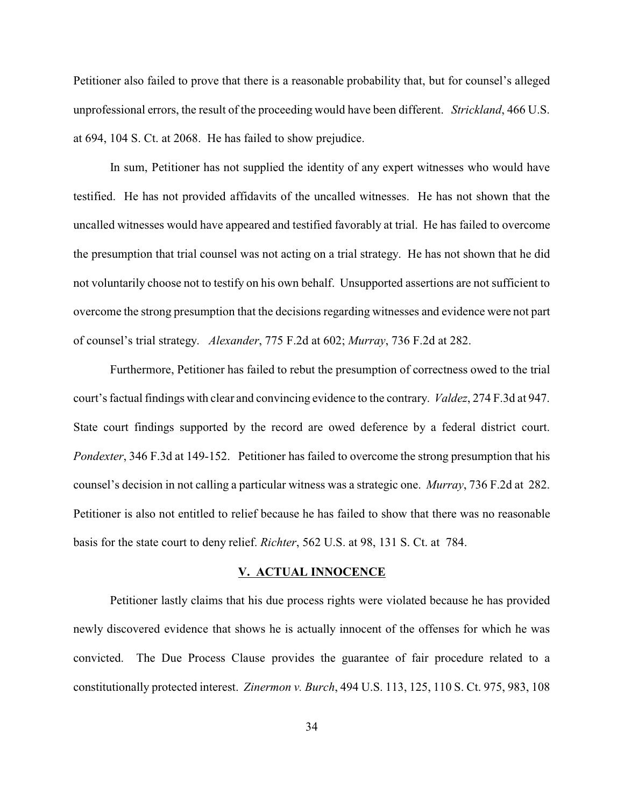Petitioner also failed to prove that there is a reasonable probability that, but for counsel's alleged unprofessional errors, the result of the proceeding would have been different. *Strickland*, 466 U.S. at 694, 104 S. Ct. at 2068. He has failed to show prejudice.

In sum, Petitioner has not supplied the identity of any expert witnesses who would have testified. He has not provided affidavits of the uncalled witnesses. He has not shown that the uncalled witnesses would have appeared and testified favorably at trial. He has failed to overcome the presumption that trial counsel was not acting on a trial strategy. He has not shown that he did not voluntarily choose not to testify on his own behalf. Unsupported assertions are not sufficient to overcome the strong presumption that the decisions regarding witnesses and evidence were not part of counsel's trial strategy. *Alexander*, 775 F.2d at 602; *Murray*, 736 F.2d at 282.

Furthermore, Petitioner has failed to rebut the presumption of correctness owed to the trial court's factual findings with clear and convincing evidence to the contrary. *Valdez*, 274 F.3d at 947. State court findings supported by the record are owed deference by a federal district court. *Pondexter*, 346 F.3d at 149-152. Petitioner has failed to overcome the strong presumption that his counsel's decision in not calling a particular witness was a strategic one. *Murray*, 736 F.2d at 282. Petitioner is also not entitled to relief because he has failed to show that there was no reasonable basis for the state court to deny relief. *Richter*, 562 U.S. at 98, 131 S. Ct. at 784.

#### **V. ACTUAL INNOCENCE**

Petitioner lastly claims that his due process rights were violated because he has provided newly discovered evidence that shows he is actually innocent of the offenses for which he was convicted. The Due Process Clause provides the guarantee of fair procedure related to a constitutionally protected interest. *Zinermon v. Burch*, 494 U.S. 113, 125, 110 S. Ct. 975, 983, 108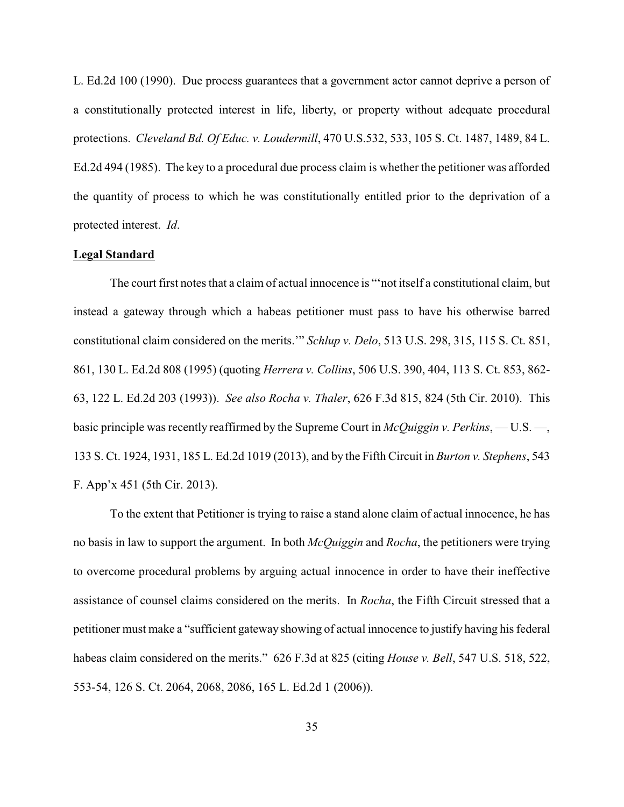L. Ed.2d 100 (1990). Due process guarantees that a government actor cannot deprive a person of a constitutionally protected interest in life, liberty, or property without adequate procedural protections. *Cleveland Bd. Of Educ. v. Loudermill*, 470 U.S.532, 533, 105 S. Ct. 1487, 1489, 84 L. Ed.2d 494 (1985). The key to a procedural due process claim is whether the petitioner was afforded the quantity of process to which he was constitutionally entitled prior to the deprivation of a protected interest. *Id*.

## **Legal Standard**

The court first notes that a claim of actual innocence is "'not itself a constitutional claim, but instead a gateway through which a habeas petitioner must pass to have his otherwise barred constitutional claim considered on the merits.'" *Schlup v. Delo*, 513 U.S. 298, 315, 115 S. Ct. 851, 861, 130 L. Ed.2d 808 (1995) (quoting *Herrera v. Collins*, 506 U.S. 390, 404, 113 S. Ct. 853, 862- 63, 122 L. Ed.2d 203 (1993)). *See also Rocha v. Thaler*, 626 F.3d 815, 824 (5th Cir. 2010). This basic principle was recently reaffirmed by the Supreme Court in *McQuiggin v. Perkins*, — U.S. —, 133 S. Ct. 1924, 1931, 185 L. Ed.2d 1019 (2013), and by the Fifth Circuit in *Burton v. Stephens*, 543 F. App'x 451 (5th Cir. 2013).

To the extent that Petitioner is trying to raise a stand alone claim of actual innocence, he has no basis in law to support the argument. In both *McQuiggin* and *Rocha*, the petitioners were trying to overcome procedural problems by arguing actual innocence in order to have their ineffective assistance of counsel claims considered on the merits. In *Rocha*, the Fifth Circuit stressed that a petitioner must make a "sufficient gateway showing of actual innocence to justify having his federal habeas claim considered on the merits." 626 F.3d at 825 (citing *House v. Bell*, 547 U.S. 518, 522, 553-54, 126 S. Ct. 2064, 2068, 2086, 165 L. Ed.2d 1 (2006)).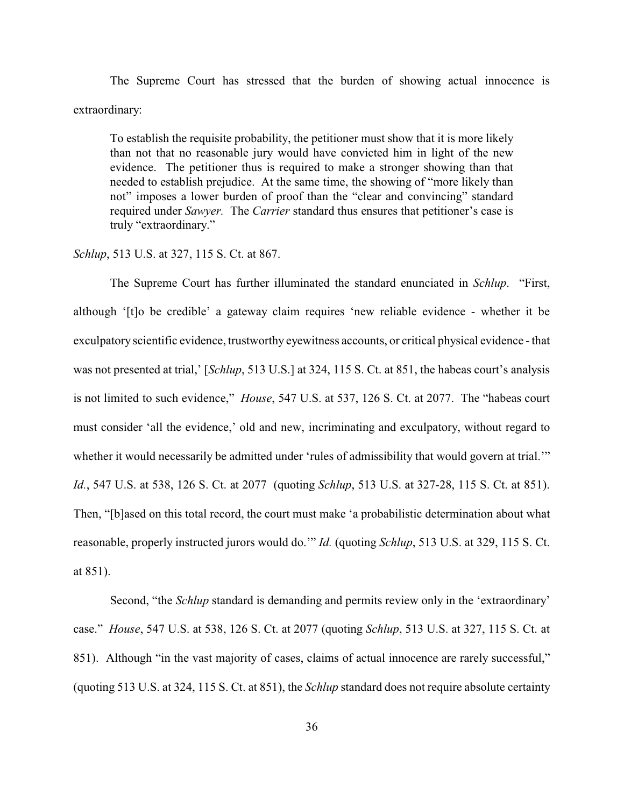The Supreme Court has stressed that the burden of showing actual innocence is extraordinary:

To establish the requisite probability, the petitioner must show that it is more likely than not that no reasonable jury would have convicted him in light of the new evidence. The petitioner thus is required to make a stronger showing than that needed to establish prejudice. At the same time, the showing of "more likely than not" imposes a lower burden of proof than the "clear and convincing" standard required under *Sawyer.* The *Carrier* standard thus ensures that petitioner's case is truly "extraordinary."

### *Schlup*, 513 U.S. at 327, 115 S. Ct. at 867.

The Supreme Court has further illuminated the standard enunciated in *Schlup*. "First, although '[t]o be credible' a gateway claim requires 'new reliable evidence - whether it be exculpatory scientific evidence, trustworthy eyewitness accounts, or critical physical evidence - that was not presented at trial,' [*Schlup*, 513 U.S.] at 324, 115 S. Ct. at 851, the habeas court's analysis is not limited to such evidence," *House*, 547 U.S. at 537, 126 S. Ct. at 2077. The "habeas court must consider 'all the evidence,' old and new, incriminating and exculpatory, without regard to whether it would necessarily be admitted under 'rules of admissibility that would govern at trial.'" *Id.*, 547 U.S. at 538, 126 S. Ct. at 2077 (quoting *Schlup*, 513 U.S. at 327-28, 115 S. Ct. at 851). Then, "[b]ased on this total record, the court must make 'a probabilistic determination about what reasonable, properly instructed jurors would do.'" *Id.* (quoting *Schlup*, 513 U.S. at 329, 115 S. Ct. at 851).

Second, "the *Schlup* standard is demanding and permits review only in the 'extraordinary' case." *House*, 547 U.S. at 538, 126 S. Ct. at 2077 (quoting *Schlup*, 513 U.S. at 327, 115 S. Ct. at 851). Although "in the vast majority of cases, claims of actual innocence are rarely successful," (quoting 513 U.S. at 324, 115 S. Ct. at 851), the *Schlup* standard does not require absolute certainty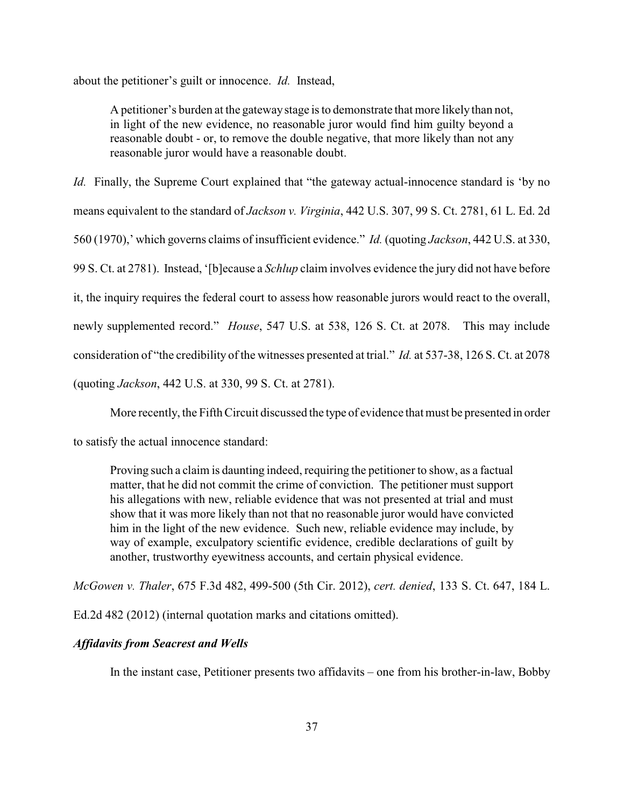about the petitioner's guilt or innocence. *Id.* Instead,

A petitioner's burden at the gatewaystage is to demonstrate that more likely than not, in light of the new evidence, no reasonable juror would find him guilty beyond a reasonable doubt - or, to remove the double negative, that more likely than not any reasonable juror would have a reasonable doubt.

*Id.* Finally, the Supreme Court explained that "the gateway actual-innocence standard is 'by no means equivalent to the standard of *Jackson v. Virginia*, 442 U.S. 307, 99 S. Ct. 2781, 61 L. Ed. 2d 560 (1970),' which governs claims of insufficient evidence." *Id.* (quoting *Jackson*, 442 U.S. at 330, 99 S. Ct. at 2781). Instead, '[b]ecause a *Schlup* claim involves evidence the jury did not have before it, the inquiry requires the federal court to assess how reasonable jurors would react to the overall, newly supplemented record." *House*, 547 U.S. at 538, 126 S. Ct. at 2078. This may include consideration of "the credibility of the witnesses presented at trial." *Id.* at 537-38, 126 S. Ct. at 2078 (quoting *Jackson*, 442 U.S. at 330, 99 S. Ct. at 2781).

More recently, the Fifth Circuit discussed the type of evidence that must be presented in order

to satisfy the actual innocence standard:

Proving such a claim is daunting indeed, requiring the petitioner to show, as a factual matter, that he did not commit the crime of conviction. The petitioner must support his allegations with new, reliable evidence that was not presented at trial and must show that it was more likely than not that no reasonable juror would have convicted him in the light of the new evidence. Such new, reliable evidence may include, by way of example, exculpatory scientific evidence, credible declarations of guilt by another, trustworthy eyewitness accounts, and certain physical evidence.

*McGowen v. Thaler*, 675 F.3d 482, 499-500 (5th Cir. 2012), *cert. denied*, 133 S. Ct. 647, 184 L.

Ed.2d 482 (2012) (internal quotation marks and citations omitted).

#### *Affidavits from Seacrest and Wells*

In the instant case, Petitioner presents two affidavits – one from his brother-in-law, Bobby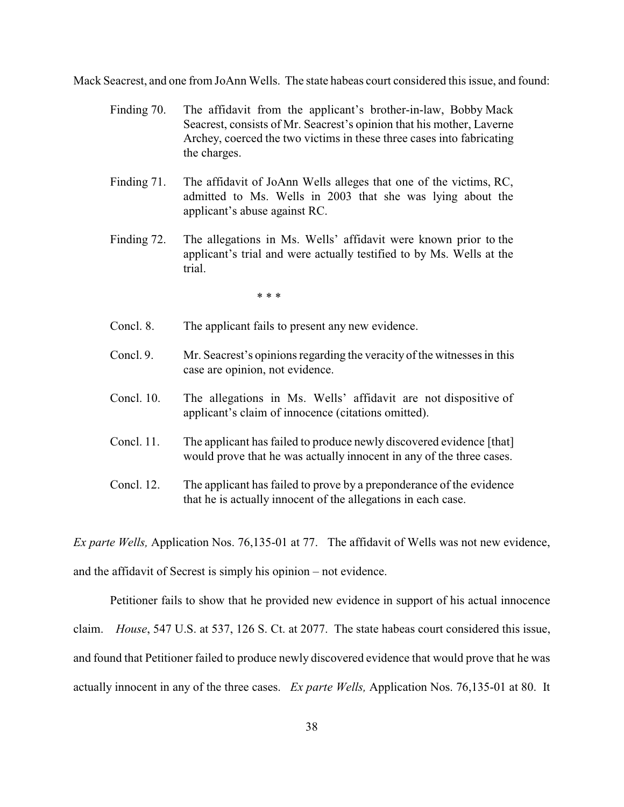Mack Seacrest, and one from JoAnn Wells. The state habeas court considered this issue, and found:

- Finding 70. The affidavit from the applicant's brother-in-law, Bobby Mack Seacrest, consists of Mr. Seacrest's opinion that his mother, Laverne Archey, coerced the two victims in these three cases into fabricating the charges.
- Finding 71. The affidavit of JoAnn Wells alleges that one of the victims, RC, admitted to Ms. Wells in 2003 that she was lying about the applicant's abuse against RC.
- Finding 72. The allegations in Ms. Wells' affidavit were known prior to the applicant's trial and were actually testified to by Ms. Wells at the trial.

\* \* \*

- Concl. 8. The applicant fails to present any new evidence.
- Concl. 9. Mr. Seacrest's opinions regarding the veracity of the witnesses in this case are opinion, not evidence.
- Concl. 10. The allegations in Ms. Wells' affidavit are not dispositive of applicant's claim of innocence (citations omitted).
- Concl. 11. The applicant has failed to produce newly discovered evidence [that] would prove that he was actually innocent in any of the three cases.
- Concl. 12. The applicant has failed to prove by a preponderance of the evidence that he is actually innocent of the allegations in each case.

*Ex parte Wells,* Application Nos. 76,135-01 at 77. The affidavit of Wells was not new evidence,

and the affidavit of Secrest is simply his opinion – not evidence.

Petitioner fails to show that he provided new evidence in support of his actual innocence claim. *House*, 547 U.S. at 537, 126 S. Ct. at 2077. The state habeas court considered this issue, and found that Petitioner failed to produce newly discovered evidence that would prove that he was actually innocent in any of the three cases. *Ex parte Wells,* Application Nos. 76,135-01 at 80. It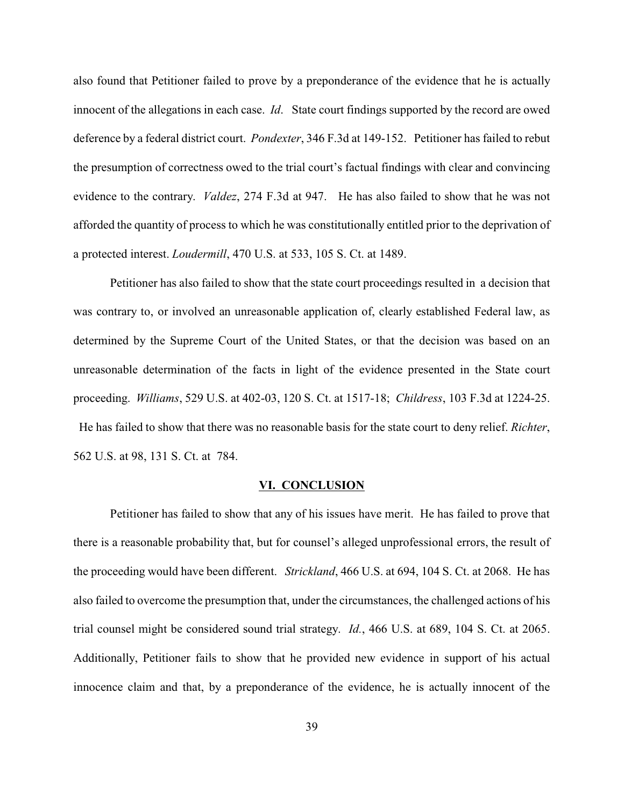also found that Petitioner failed to prove by a preponderance of the evidence that he is actually innocent of the allegations in each case. *Id*. State court findings supported by the record are owed deference by a federal district court. *Pondexter*, 346 F.3d at 149-152. Petitioner has failed to rebut the presumption of correctness owed to the trial court's factual findings with clear and convincing evidence to the contrary. *Valdez*, 274 F.3d at 947. He has also failed to show that he was not afforded the quantity of process to which he was constitutionally entitled prior to the deprivation of a protected interest. *Loudermill*, 470 U.S. at 533, 105 S. Ct. at 1489.

Petitioner has also failed to show that the state court proceedings resulted in a decision that was contrary to, or involved an unreasonable application of, clearly established Federal law, as determined by the Supreme Court of the United States, or that the decision was based on an unreasonable determination of the facts in light of the evidence presented in the State court proceeding. *Williams*, 529 U.S. at 402-03, 120 S. Ct. at 1517-18; *Childress*, 103 F.3d at 1224-25. He has failed to show that there was no reasonable basis for the state court to deny relief. *Richter*, 562 U.S. at 98, 131 S. Ct. at 784.

#### **VI. CONCLUSION**

Petitioner has failed to show that any of his issues have merit. He has failed to prove that there is a reasonable probability that, but for counsel's alleged unprofessional errors, the result of the proceeding would have been different. *Strickland*, 466 U.S. at 694, 104 S. Ct. at 2068. He has also failed to overcome the presumption that, under the circumstances, the challenged actions of his trial counsel might be considered sound trial strategy. *Id.*, 466 U.S. at 689, 104 S. Ct. at 2065. Additionally, Petitioner fails to show that he provided new evidence in support of his actual innocence claim and that, by a preponderance of the evidence, he is actually innocent of the